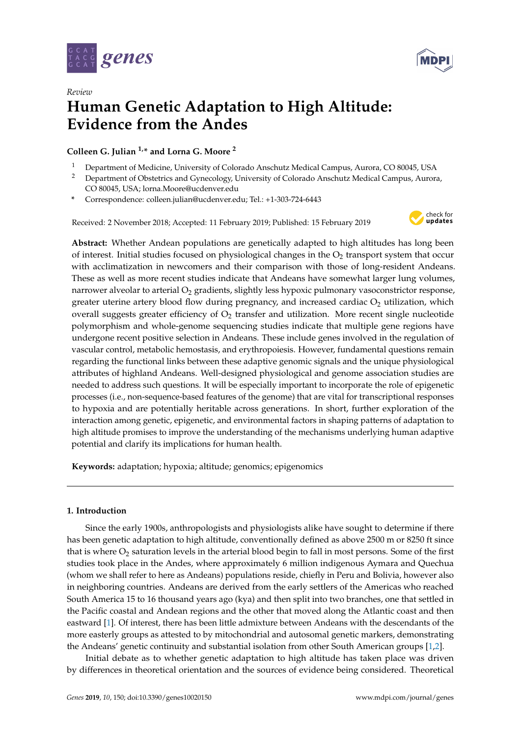



# *Review* **Human Genetic Adaptation to High Altitude: Evidence from the Andes**

**Colleen G. Julian 1,\* and Lorna G. Moore <sup>2</sup>**

- <sup>1</sup> Department of Medicine, University of Colorado Anschutz Medical Campus, Aurora, CO 80045, USA
- <sup>2</sup> Department of Obstetrics and Gynecology, University of Colorado Anschutz Medical Campus, Aurora, CO 80045, USA; lorna.Moore@ucdenver.edu
- **\*** Correspondence: colleen.julian@ucdenver.edu; Tel.: +1-303-724-6443

Received: 2 November 2018; Accepted: 11 February 2019; Published: 15 February 2019



**Abstract:** Whether Andean populations are genetically adapted to high altitudes has long been of interest. Initial studies focused on physiological changes in the  $O<sub>2</sub>$  transport system that occur with acclimatization in newcomers and their comparison with those of long-resident Andeans. These as well as more recent studies indicate that Andeans have somewhat larger lung volumes, narrower alveolar to arterial O<sub>2</sub> gradients, slightly less hypoxic pulmonary vasoconstrictor response, greater uterine artery blood flow during pregnancy, and increased cardiac  $O<sub>2</sub>$  utilization, which overall suggests greater efficiency of  $O<sub>2</sub>$  transfer and utilization. More recent single nucleotide polymorphism and whole-genome sequencing studies indicate that multiple gene regions have undergone recent positive selection in Andeans. These include genes involved in the regulation of vascular control, metabolic hemostasis, and erythropoiesis. However, fundamental questions remain regarding the functional links between these adaptive genomic signals and the unique physiological attributes of highland Andeans. Well-designed physiological and genome association studies are needed to address such questions. It will be especially important to incorporate the role of epigenetic processes (i.e., non-sequence-based features of the genome) that are vital for transcriptional responses to hypoxia and are potentially heritable across generations. In short, further exploration of the interaction among genetic, epigenetic, and environmental factors in shaping patterns of adaptation to high altitude promises to improve the understanding of the mechanisms underlying human adaptive potential and clarify its implications for human health.

**Keywords:** adaptation; hypoxia; altitude; genomics; epigenomics

# **1. Introduction**

Since the early 1900s, anthropologists and physiologists alike have sought to determine if there has been genetic adaptation to high altitude, conventionally defined as above 2500 m or 8250 ft since that is where  $O_2$  saturation levels in the arterial blood begin to fall in most persons. Some of the first studies took place in the Andes, where approximately 6 million indigenous Aymara and Quechua (whom we shall refer to here as Andeans) populations reside, chiefly in Peru and Bolivia, however also in neighboring countries. Andeans are derived from the early settlers of the Americas who reached South America 15 to 16 thousand years ago (kya) and then split into two branches, one that settled in the Pacific coastal and Andean regions and the other that moved along the Atlantic coast and then eastward [\[1\]](#page-12-0). Of interest, there has been little admixture between Andeans with the descendants of the more easterly groups as attested to by mitochondrial and autosomal genetic markers, demonstrating the Andeans' genetic continuity and substantial isolation from other South American groups [\[1,](#page-12-0)[2\]](#page-12-1).

Initial debate as to whether genetic adaptation to high altitude has taken place was driven by differences in theoretical orientation and the sources of evidence being considered. Theoretical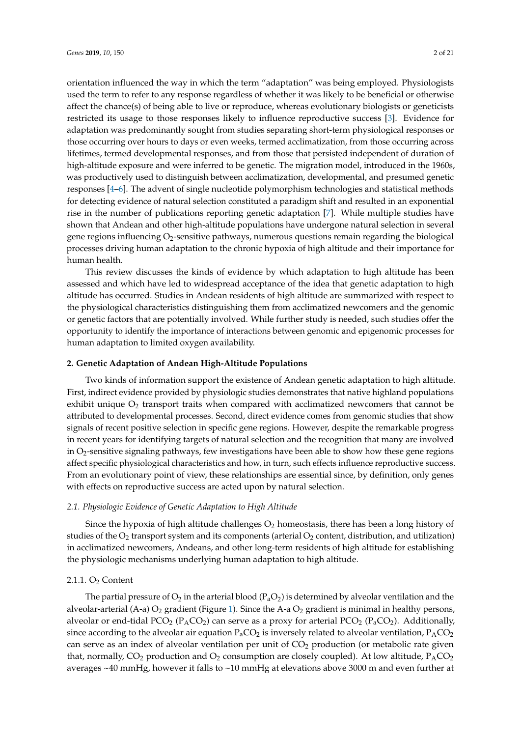orientation influenced the way in which the term "adaptation" was being employed. Physiologists used the term to refer to any response regardless of whether it was likely to be beneficial or otherwise affect the chance(s) of being able to live or reproduce, whereas evolutionary biologists or geneticists restricted its usage to those responses likely to influence reproductive success [\[3\]](#page-12-2). Evidence for adaptation was predominantly sought from studies separating short-term physiological responses or those occurring over hours to days or even weeks, termed acclimatization, from those occurring across lifetimes, termed developmental responses, and from those that persisted independent of duration of high-altitude exposure and were inferred to be genetic. The migration model, introduced in the 1960s, was productively used to distinguish between acclimatization, developmental, and presumed genetic responses [\[4–](#page-12-3)[6\]](#page-12-4). The advent of single nucleotide polymorphism technologies and statistical methods for detecting evidence of natural selection constituted a paradigm shift and resulted in an exponential rise in the number of publications reporting genetic adaptation [\[7\]](#page-12-5). While multiple studies have shown that Andean and other high-altitude populations have undergone natural selection in several gene regions influencing  $O_2$ -sensitive pathways, numerous questions remain regarding the biological processes driving human adaptation to the chronic hypoxia of high altitude and their importance for human health.

This review discusses the kinds of evidence by which adaptation to high altitude has been assessed and which have led to widespread acceptance of the idea that genetic adaptation to high altitude has occurred. Studies in Andean residents of high altitude are summarized with respect to the physiological characteristics distinguishing them from acclimatized newcomers and the genomic or genetic factors that are potentially involved. While further study is needed, such studies offer the opportunity to identify the importance of interactions between genomic and epigenomic processes for human adaptation to limited oxygen availability.

# **2. Genetic Adaptation of Andean High-Altitude Populations**

Two kinds of information support the existence of Andean genetic adaptation to high altitude. First, indirect evidence provided by physiologic studies demonstrates that native highland populations exhibit unique  $O_2$  transport traits when compared with acclimatized newcomers that cannot be attributed to developmental processes. Second, direct evidence comes from genomic studies that show signals of recent positive selection in specific gene regions. However, despite the remarkable progress in recent years for identifying targets of natural selection and the recognition that many are involved in O<sub>2</sub>-sensitive signaling pathways, few investigations have been able to show how these gene regions affect specific physiological characteristics and how, in turn, such effects influence reproductive success. From an evolutionary point of view, these relationships are essential since, by definition, only genes with effects on reproductive success are acted upon by natural selection.

#### *2.1. Physiologic Evidence of Genetic Adaptation to High Altitude*

Since the hypoxia of high altitude challenges  $O_2$  homeostasis, there has been a long history of studies of the  $O_2$  transport system and its components (arterial  $O_2$  content, distribution, and utilization) in acclimatized newcomers, Andeans, and other long-term residents of high altitude for establishing the physiologic mechanisms underlying human adaptation to high altitude.

#### 2.1.1.  $O<sub>2</sub>$  Content

The partial pressure of  $O_2$  in the arterial blood ( $P_aO_2$ ) is determined by alveolar ventilation and the alveolar-arterial (A-a)  $O_2$  gradient (Figure [1\)](#page-2-0). Since the A-a  $O_2$  gradient is minimal in healthy persons, alveolar or end-tidal PCO<sub>2</sub> ( $P_ACO_2$ ) can serve as a proxy for arterial PCO<sub>2</sub> ( $P_ACO_2$ ). Additionally, since according to the alveolar air equation  $P_aCO_2$  is inversely related to alveolar ventilation,  $P_ACO_2$ can serve as an index of alveolar ventilation per unit of  $CO<sub>2</sub>$  production (or metabolic rate given that, normally,  $CO_2$  production and  $O_2$  consumption are closely coupled). At low altitude,  $P_ACO_2$ averages ~40 mmHg, however it falls to ~10 mmHg at elevations above 3000 m and even further at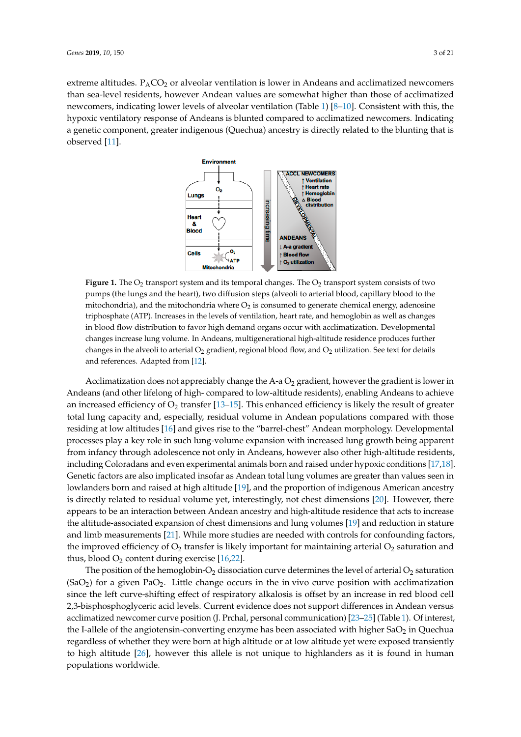<span id="page-2-0"></span>extreme altitudes.  $P_{A}CO_{2}$  or alveolar ventilation is lower in Andeans and acclimatized newcomers than sea-level residents, however Andean values are somewhat higher than those of acclimatized newcomers, indicating lower levels of alveolar ventilation (Table [1\)](#page-3-0) [\[8](#page-12-6)-10]. Consistent with this, the hypoxic ventilatory response of Andeans is blunted compared to acclimatized newcomers. Indicating a genetic component, greater indigenous (Quechua) ancestry is directly related to the blunting that is observed [\[11\]](#page-12-8).



pumps (the lungs and the heart), two diffusion steps (alveoli to arterial blood, capillary blood to the mitochondria), and the mitochondria where  $O_2$  is consumed to generate chemical energy, adenosine triphosphate (ATP). Increases in the levels of ventilation, heart rate, and hemoglobin as well as changes in blood flow distribution to favor high demand organs occur with acclimatization. Developmental changes increase lung volume. In Andeans, multigenerational high-altitude residence produces further changes in the alveoli to arterial O<sub>2</sub> gradient, regional blood flow, and O<sub>2</sub> utilization. See text for details and references. Adapted from [\[12\]](#page-12-9). **Figure 1.** The  $\mathrm{O}_2$  transport system and its temporal changes. The  $\mathrm{O}_2$  transport system consists of two

Andeans (and other lifelong of high- compared to low-altitude residents), enabling Andeans to achieve an increased efficiency of  $O_2$  transfer [\[13](#page-12-10)[–15\]](#page-12-11). This enhanced efficiency is likely the result of greater total lung capacity and, especially, residual volume in Andean populations compared with those residing at low altitudes [\[16\]](#page-12-12) and gives rise to the "barrel-chest" Andean morphology. Developmental processes play a key role in such lung-volume expansion with increased lung growth being apparent from infancy through adolescence not only in Andeans, however also other high-altitude residents, including Coloradans and even experimental animals born and raised under hypoxic conditions [\[17](#page-13-0)[,18\]](#page-13-1). Genetic factors are also implicated insofar as Andean total lung volumes are greater than values seen in lowlanders born and raised at high altitude [\[19\]](#page-13-2), and the proportion of indigenous American ancestry is directly related to residual volume yet, interestingly, not chest dimensions [\[20\]](#page-13-3). However, there appears to be an interaction between Andean ancestry and high-altitude residence that acts to increase the altitude-associated expansion of chest dimensions and lung volumes [\[19\]](#page-13-2) and reduction in stature and limb measurements [\[21\]](#page-13-4). While more studies are needed with controls for confounding factors, the improved efficiency of  $O_2$  transfer is likely important for maintaining arterial  $O_2$  saturation and thus, blood  $O_2$  content during exercise [\[16](#page-12-12)[,22\]](#page-13-5). Acclimatization does not appreciably change the A-a  $O_2$  gradient, however the gradient is lower in

The position of the hemoglobin- $O_2$  dissociation curve determines the level of arterial  $O_2$  saturation (SaO<sub>2</sub>) for a given PaO<sub>2</sub>. Little change occurs in the in vivo curve position with acclimatization since the left curve-shifting effect of respiratory alkalosis is offset by an increase in red blood cell 2,3-bisphosphoglyceric acid levels. Current evidence does not support differences in Andean versus acclimatized newcomer curve position (J. Prchal, personal communication) [\[23](#page-13-6)-25] (Table [1\)](#page-3-0). Of interest, the I-allele of the angiotensin-converting enzyme has been associated with higher SaO<sub>2</sub> in Quechua regardless of whether they were born at high altitude or at low altitude yet were exposed transiently to high altitude [\[26\]](#page-13-8), however this allele is not unique to highlanders as it is found in human populations worldwide. **Exercise 26, however the intervalse is not unital**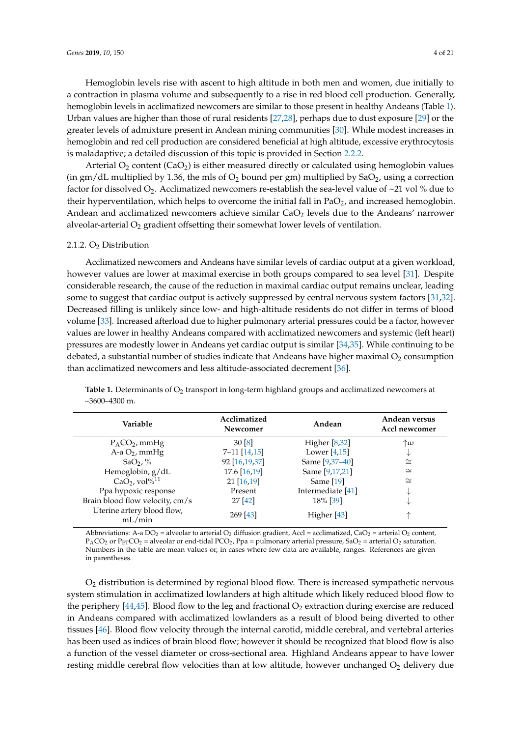Hemoglobin levels rise with ascent to high altitude in both men and women, due initially to a contraction in plasma volume and subsequently to a rise in red blood cell production. Generally, hemoglobin levels in acclimatized newcomers are similar to those present in healthy Andeans (Table [1\)](#page-3-0). Urban values are higher than those of rural residents [\[27](#page-13-9)[,28\]](#page-13-10), perhaps due to dust exposure [\[29\]](#page-13-11) or the greater levels of admixture present in Andean mining communities [\[30\]](#page-13-12). While modest increases in hemoglobin and red cell production are considered beneficial at high altitude, excessive erythrocytosis is maladaptive; a detailed discussion of this topic is provided in Section [2.2.2.](#page-7-0)

Arterial  $O_2$  content (Ca $O_2$ ) is either measured directly or calculated using hemoglobin values (in gm/dL multiplied by 1.36, the mls of  $O_2$  bound per gm) multiplied by Sa $O_2$ , using a correction factor for dissolved  $O_2$ . Acclimatized newcomers re-establish the sea-level value of  $\sim$ 21 vol % due to their hyperventilation, which helps to overcome the initial fall in  $PaO<sub>2</sub>$ , and increased hemoglobin. Andean and acclimatized newcomers achieve similar  $CaO<sub>2</sub>$  levels due to the Andeans' narrower alveolar-arterial O<sub>2</sub> gradient offsetting their somewhat lower levels of ventilation.

## 2.1.2.  $O<sub>2</sub>$  Distribution

Acclimatized newcomers and Andeans have similar levels of cardiac output at a given workload, however values are lower at maximal exercise in both groups compared to sea level [\[31\]](#page-13-13). Despite considerable research, the cause of the reduction in maximal cardiac output remains unclear, leading some to suggest that cardiac output is actively suppressed by central nervous system factors [\[31,](#page-13-13)[32\]](#page-13-14). Decreased filling is unlikely since low- and high-altitude residents do not differ in terms of blood volume [\[33\]](#page-13-15). Increased afterload due to higher pulmonary arterial pressures could be a factor, however values are lower in healthy Andeans compared with acclimatized newcomers and systemic (left heart) pressures are modestly lower in Andeans yet cardiac output is similar [\[34](#page-13-16)[,35\]](#page-13-17). While continuing to be debated, a substantial number of studies indicate that Andeans have higher maximal  $O<sub>2</sub>$  consumption than acclimatized newcomers and less altitude-associated decrement [\[36\]](#page-13-18).

| Variable                                           | Acclimatized<br>Newcomer | Andean            | Andean versus<br>Accl newcomer |
|----------------------------------------------------|--------------------------|-------------------|--------------------------------|
| $P_ACO_2$ , mmHg                                   | 30[8]                    | Higher $[8,32]$   | $\uparrow \omega$              |
| A-a $O_2$ , mmHg                                   | $7-11$ [14,15]           | Lower $[4,15]$    | ∿                              |
| SaO <sub>2</sub> , $\%$                            | 92 [16,19,37]            | Same [9,37-40]    | $\cong$                        |
| Hemoglobin, g/dL                                   | $17.6$ [16,19]           | Same [9,17,21]    | $\cong$                        |
| CaO <sub>2</sub> , vol $\frac{1}{6}$ <sup>11</sup> | $21$ [16,19]             | Same [19]         | $\simeq$                       |
| Ppa hypoxic response                               | Present                  | Intermediate [41] | ↵                              |
| Brain blood flow velocity, cm/s                    | 27 [42]                  | 18% [39]          | ∿                              |
| Uterine artery blood flow,<br>mL/min               | 269 [43]                 | Higher [43]       |                                |

<span id="page-3-0"></span>**Table 1.** Determinants of  $\mathrm{O}_2$  transport in long-term highland groups and acclimatized newcomers at ~3600–4300 m.

Abbreviations: A-a DO<sub>2</sub> = alveolar to arterial O<sub>2</sub> diffusion gradient, Accl = acclimatized, CaO<sub>2</sub> = arterial O<sub>2</sub> content,  $P_ACO_2$  or  $P_{ET}CO_2$  = alveolar or end-tidal PCO<sub>2</sub>, Ppa = pulmonary arterial pressure, SaO<sub>2</sub> = arterial O<sub>2</sub> saturation. Numbers in the table are mean values or, in cases where few data are available, ranges. References are given in parentheses.

O<sup>2</sup> distribution is determined by regional blood flow. There is increased sympathetic nervous system stimulation in acclimatized lowlanders at high altitude which likely reduced blood flow to the periphery  $[44,45]$  $[44,45]$ . Blood flow to the leg and fractional  $O<sub>2</sub>$  extraction during exercise are reduced in Andeans compared with acclimatized lowlanders as a result of blood being diverted to other tissues [\[46\]](#page-14-7). Blood flow velocity through the internal carotid, middle cerebral, and vertebral arteries has been used as indices of brain blood flow; however it should be recognized that blood flow is also a function of the vessel diameter or cross-sectional area. Highland Andeans appear to have lower resting middle cerebral flow velocities than at low altitude, however unchanged  $O<sub>2</sub>$  delivery due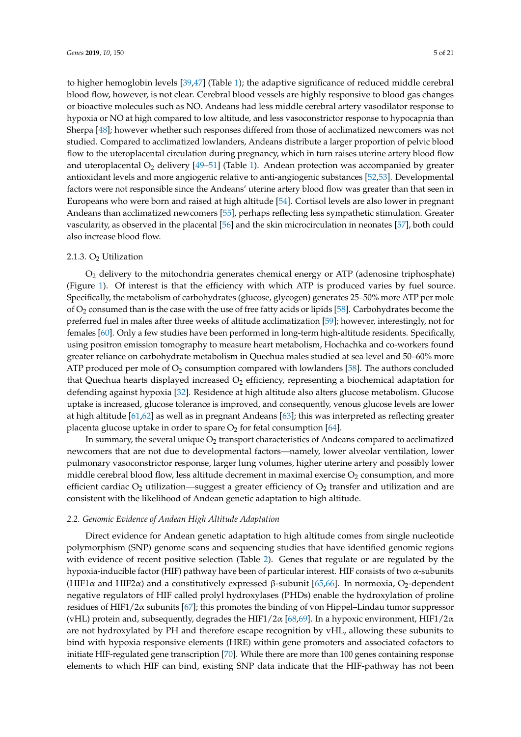to higher hemoglobin levels [\[39,](#page-14-3)[47\]](#page-14-8) (Table [1\)](#page-3-0); the adaptive significance of reduced middle cerebral blood flow, however, is not clear. Cerebral blood vessels are highly responsive to blood gas changes or bioactive molecules such as NO. Andeans had less middle cerebral artery vasodilator response to hypoxia or NO at high compared to low altitude, and less vasoconstrictor response to hypocapnia than Sherpa [\[48\]](#page-14-9); however whether such responses differed from those of acclimatized newcomers was not studied. Compared to acclimatized lowlanders, Andeans distribute a larger proportion of pelvic blood flow to the uteroplacental circulation during pregnancy, which in turn raises uterine artery blood flow and uteroplacental  $O_2$  delivery  $[49-51]$  $[49-51]$  (Table [1\)](#page-3-0). Andean protection was accompanied by greater antioxidant levels and more angiogenic relative to anti-angiogenic substances [\[52](#page-14-12)[,53\]](#page-14-13). Developmental factors were not responsible since the Andeans' uterine artery blood flow was greater than that seen in Europeans who were born and raised at high altitude [\[54\]](#page-14-14). Cortisol levels are also lower in pregnant Andeans than acclimatized newcomers [\[55\]](#page-14-15), perhaps reflecting less sympathetic stimulation. Greater vascularity, as observed in the placental [\[56\]](#page-15-0) and the skin microcirculation in neonates [\[57\]](#page-15-1), both could also increase blood flow.

## 2.1.3.  $O_2$  Utilization

O<sup>2</sup> delivery to the mitochondria generates chemical energy or ATP (adenosine triphosphate) (Figure [1\)](#page-2-0). Of interest is that the efficiency with which ATP is produced varies by fuel source. Specifically, the metabolism of carbohydrates (glucose, glycogen) generates 25–50% more ATP per mole of  $O_2$  consumed than is the case with the use of free fatty acids or lipids [\[58\]](#page-15-2). Carbohydrates become the preferred fuel in males after three weeks of altitude acclimatization [\[59\]](#page-15-3); however, interestingly, not for females [\[60\]](#page-15-4). Only a few studies have been performed in long-term high-altitude residents. Specifically, using positron emission tomography to measure heart metabolism, Hochachka and co-workers found greater reliance on carbohydrate metabolism in Quechua males studied at sea level and 50–60% more ATP produced per mole of  $O_2$  consumption compared with lowlanders [\[58\]](#page-15-2). The authors concluded that Quechua hearts displayed increased  $O<sub>2</sub>$  efficiency, representing a biochemical adaptation for defending against hypoxia [\[32\]](#page-13-14). Residence at high altitude also alters glucose metabolism. Glucose uptake is increased, glucose tolerance is improved, and consequently, venous glucose levels are lower at high altitude [\[61,](#page-15-5)[62\]](#page-15-6) as well as in pregnant Andeans [\[63\]](#page-15-7); this was interpreted as reflecting greater placenta glucose uptake in order to spare  $O_2$  for fetal consumption [\[64\]](#page-15-8).

In summary, the several unique  $O_2$  transport characteristics of Andeans compared to acclimatized newcomers that are not due to developmental factors—namely, lower alveolar ventilation, lower pulmonary vasoconstrictor response, larger lung volumes, higher uterine artery and possibly lower middle cerebral blood flow, less altitude decrement in maximal exercise  $O_2$  consumption, and more efficient cardiac  $O_2$  utilization—suggest a greater efficiency of  $O_2$  transfer and utilization and are consistent with the likelihood of Andean genetic adaptation to high altitude.

## *2.2. Genomic Evidence of Andean High Altitude Adaptation*

Direct evidence for Andean genetic adaptation to high altitude comes from single nucleotide polymorphism (SNP) genome scans and sequencing studies that have identified genomic regions with evidence of recent positive selection (Table [2\)](#page-5-0). Genes that regulate or are regulated by the hypoxia-inducible factor (HIF) pathway have been of particular interest. HIF consists of two  $\alpha$ -subunits (HIF1 $\alpha$  and HIF2 $\alpha$ ) and a constitutively expressed  $\beta$ -subunit [\[65](#page-15-9)[,66\]](#page-15-10). In normoxia, O<sub>2</sub>-dependent negative regulators of HIF called prolyl hydroxylases (PHDs) enable the hydroxylation of proline residues of HIF1/2 $\alpha$  subunits [\[67\]](#page-15-11); this promotes the binding of von Hippel-Lindau tumor suppressor (vHL) protein and, subsequently, degrades the HIF1/2 $\alpha$  [\[68](#page-15-12)[,69\]](#page-15-13). In a hypoxic environment, HIF1/2 $\alpha$ are not hydroxylated by PH and therefore escape recognition by vHL, allowing these subunits to bind with hypoxia responsive elements (HRE) within gene promoters and associated cofactors to initiate HIF-regulated gene transcription [\[70\]](#page-15-14). While there are more than 100 genes containing response elements to which HIF can bind, existing SNP data indicate that the HIF-pathway has not been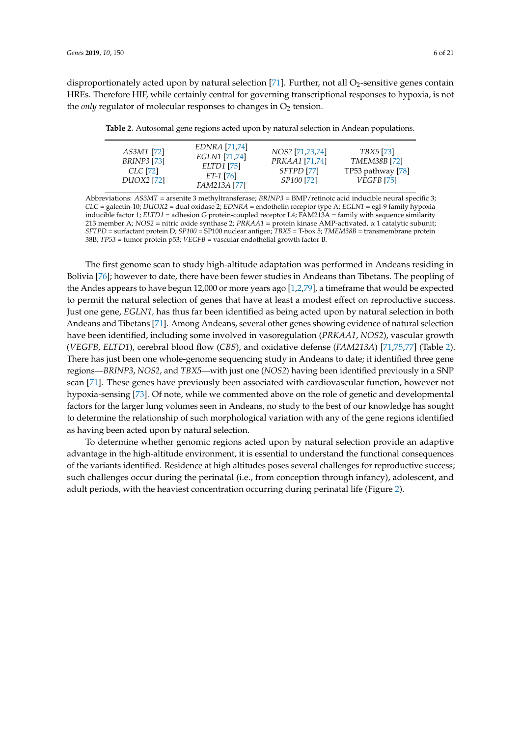disproportionately acted upon by natural selection [\[71\]](#page-15-15). Further, not all  $O<sub>2</sub>$ -sensitive genes contain HREs. Therefore HIF, while certainly central for governing transcriptional responses to hypoxia, is not the *only* regulator of molecular responses to changes in  $O_2$  tension.

| AS3MT [72]<br><b>BRINP3</b> [73]<br>CLC [72]<br>DUOX2 [72] | EDNRA [71,74]<br>EGLN1 [71,74]<br>ELTD1 [75]<br>$ET-1$ [76]<br>FAM213A [77] | NOS2 [71,73,74]<br>PRKAA1 [71,74]<br>SFTPD [77]<br>SP <sub>100</sub> [72] | TBX5 [73]<br>TMEM38B [72]<br>TP53 pathway [78]<br>VEGFB <sub>[75]</sub> |
|------------------------------------------------------------|-----------------------------------------------------------------------------|---------------------------------------------------------------------------|-------------------------------------------------------------------------|
|------------------------------------------------------------|-----------------------------------------------------------------------------|---------------------------------------------------------------------------|-------------------------------------------------------------------------|

<span id="page-5-0"></span>**Table 2.** Autosomal gene regions acted upon by natural selection in Andean populations.

Abbreviations: *AS3MT* = arsenite 3 methyltransferase; *BRINP3* = BMP/retinoic acid inducible neural specific 3; *CLC* = galectin-10; *DUOX2* = dual oxidase 2; *EDNRA* = endothelin receptor type A; *EGLN1* = egl-9 family hypoxia inducible factor 1; *ELTD1* = adhesion G protein-coupled receptor L4; FAM213A = family with sequence similarity 213 member A; *NOS2* = nitric oxide synthase 2; *PRKAA1* = protein kinase AMP-activated, α 1 catalytic subunit; *SFTPD* = surfactant protein D; *SP100* = SP100 nuclear antigen; *TBX5* = T-box 5; *TMEM38B* = transmembrane protein 38B; *TP53* = tumor protein p53; *VEGFB* = vascular endothelial growth factor B.

The first genome scan to study high-altitude adaptation was performed in Andeans residing in Bolivia [\[76\]](#page-16-1); however to date, there have been fewer studies in Andeans than Tibetans. The peopling of the Andes appears to have begun 12,000 or more years ago [\[1](#page-12-0)[,2,](#page-12-1)[79\]](#page-16-4), a timeframe that would be expected to permit the natural selection of genes that have at least a modest effect on reproductive success. Just one gene, *EGLN1,* has thus far been identified as being acted upon by natural selection in both Andeans and Tibetans [\[71\]](#page-15-15). Among Andeans, several other genes showing evidence of natural selection have been identified, including some involved in vasoregulation (*PRKAA1*, *NOS2*), vascular growth (*VEGFB*, *ELTD1*), cerebral blood flow (*CBS*), and oxidative defense (*FAM213A*) [\[71,](#page-15-15)[75,](#page-16-0)[77\]](#page-16-2) (Table [2\)](#page-5-0). There has just been one whole-genome sequencing study in Andeans to date; it identified three gene regions—*BRINP3*, *NOS2*, and *TBX5*—with just one (*NOS2*) having been identified previously in a SNP scan [\[71\]](#page-15-15). These genes have previously been associated with cardiovascular function, however not hypoxia-sensing [\[73\]](#page-15-17). Of note, while we commented above on the role of genetic and developmental factors for the larger lung volumes seen in Andeans, no study to the best of our knowledge has sought to determine the relationship of such morphological variation with any of the gene regions identified as having been acted upon by natural selection.

To determine whether genomic regions acted upon by natural selection provide an adaptive advantage in the high-altitude environment, it is essential to understand the functional consequences of the variants identified. Residence at high altitudes poses several challenges for reproductive success; such challenges occur during the perinatal (i.e., from conception through infancy), adolescent, and adult periods, with the heaviest concentration occurring during perinatal life (Figure [2\)](#page-6-0).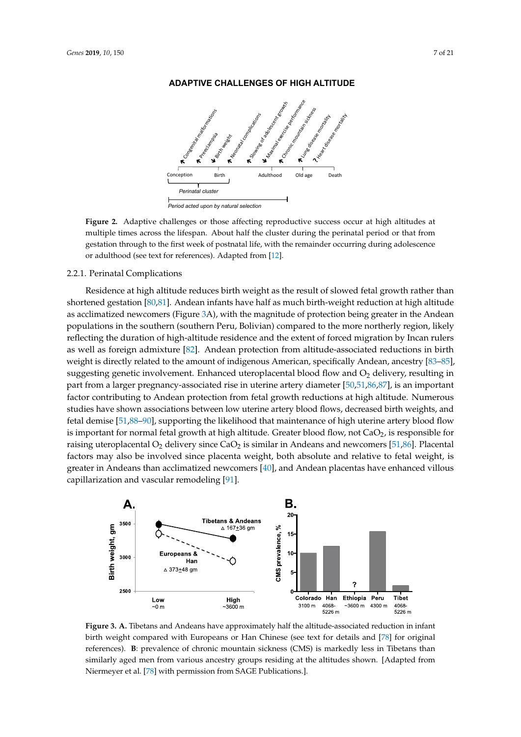# **ADAPTIVE CHALLENGES OF HIGH ALTITUDE**

<span id="page-6-0"></span>

**Figure 2.** Adaptive challenges or those affecting reproductive success occur at high altitudes at **Figure 2.** Adaptive challenges or those affecting reproductive success occur at high altitudes at multiple times across the lifespan. About half the cluster during the perinatal period or that from multiple times across the lifespan. About half the cluster during the perinatal period or that from gestation through to the first week of postnatal life, with the remainder occurring during adolescence gestation through to the first week of postnatal life, with the remainder occurring during adolescence or adulthood (see text for references). Adapted from [\[12\]](#page-12-9).

# 2.2.1. Perinatal Complications 2.2.1. Perinatal Complications

Residence at high altitude reduces birth weight as the result of slowed fetal growth rather than Residence at high altitude reduces birth weight as the result of slowed fetal growth rather than shortened gestation [80,81]. Andean infants have half as much birth-weight reduction at high altitude shortened gestation [\[8](#page-16-5)[0,81](#page-16-6)]. Andean infants have half as much birth-weight reduction at high altitude as acclimatized newcomers (Fig[ure](#page-6-1) 3A), with the magnitude of protection being greater in the Andean populations in the southern (southern Peru, Bolivian) compared to the more northerly region, likely reflecting the duration of high-altitude residence and the extent of forced migration by Incan rulers as well as foreign [adm](#page-16-7)ixture [82]. Andean protection from altitude-associated reductions in birth weight is directly related to the amount of indigenous American, specifically [And](#page-16-8)[ean](#page-16-9), ancestry [83-85], suggesting genetic involvement. Enhanced uteroplacental blood flow and  $O_2$  delivery, resulting in part from a larger pregnancy-associated rise in uterine artery diameter [\[50,](#page-14-16)[51,](#page-14-11)[86,](#page-16-10)[87\]](#page-16-11), is an important factor contributing to Andean protection from fetal growth reductions at high altitude. Numerous studies have shown associations between low uterine artery blood flows, decreased birth weights, and fetal demise [51,88-90], supporting the likelihood that maintenance of high uterine artery blood flow is important for normal fetal growth at high altitude. Greater blood flow, not  $CaO<sub>2</sub>$ , is responsible for raising uteroplacental  $O_2$  delivery since Ca $O_2$  is si[mil](#page-14-11)[ar](#page-16-10) in Andeans and newcomers [51,86]. Placental factors may also be involved since placenta weight, both absolute and relative to fetal weight, is greater in Andea[ns th](#page-14-0)an acclimatized newcomers [40], and Andean placentas have enhanced villous capilla[riza](#page-16-14)tion and vascular remodeling [91].

<span id="page-6-1"></span>

birth weight compared with Europeans or Han Chinese (see text for details and [\[78\]](#page-16-3) for original references). **B**: prevalence of chronic mountain sickness (CMS) is markedly less in Tibetans than similarly aged men from various ancestry groups residing at the altitudes shown. [Adapted from Niermeyer et al. [78] with permission from SAGE Publications.]. **Figure 3. A.** Tibetans and Andeans have approximately half the altitude-associated reduction in infant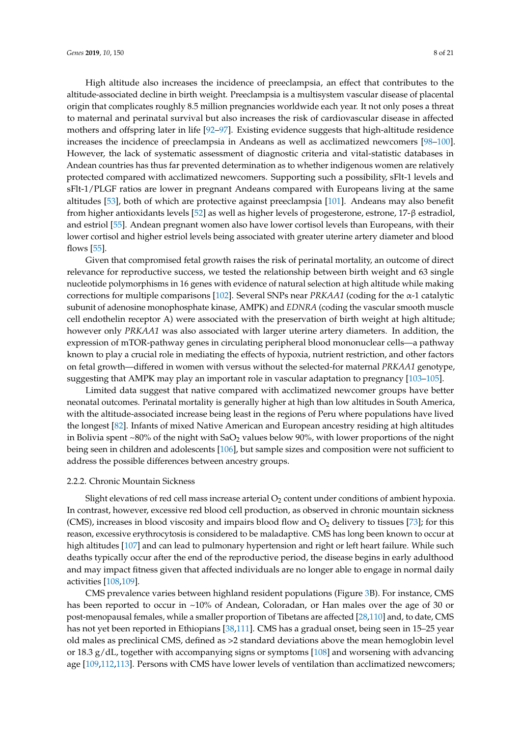flows [\[55\]](#page-14-15).

High altitude also increases the incidence of preeclampsia, an effect that contributes to the altitude-associated decline in birth weight. Preeclampsia is a multisystem vascular disease of placental origin that complicates roughly 8.5 million pregnancies worldwide each year. It not only poses a threat to maternal and perinatal survival but also increases the risk of cardiovascular disease in affected mothers and offspring later in life [\[92–](#page-16-15)[97\]](#page-17-0). Existing evidence suggests that high-altitude residence increases the incidence of preeclampsia in Andeans as well as acclimatized newcomers [\[98–](#page-17-1)[100\]](#page-17-2). However, the lack of systematic assessment of diagnostic criteria and vital-statistic databases in Andean countries has thus far prevented determination as to whether indigenous women are relatively protected compared with acclimatized newcomers. Supporting such a possibility, sFlt-1 levels and sFlt-1/PLGF ratios are lower in pregnant Andeans compared with Europeans living at the same altitudes [\[53\]](#page-14-13), both of which are protective against preeclampsia [\[101\]](#page-17-3). Andeans may also benefit from higher antioxidants levels [\[52\]](#page-14-12) as well as higher levels of progesterone, estrone, 17-β estradiol, and estriol [\[55\]](#page-14-15). Andean pregnant women also have lower cortisol levels than Europeans, with their

Given that compromised fetal growth raises the risk of perinatal mortality, an outcome of direct relevance for reproductive success, we tested the relationship between birth weight and 63 single nucleotide polymorphisms in 16 genes with evidence of natural selection at high altitude while making corrections for multiple comparisons [\[102\]](#page-17-4). Several SNPs near *PRKAA1* (coding for the α-1 catalytic subunit of adenosine monophosphate kinase, AMPK) and *EDNRA* (coding the vascular smooth muscle cell endothelin receptor A) were associated with the preservation of birth weight at high altitude; however only *PRKAA1* was also associated with larger uterine artery diameters. In addition, the expression of mTOR-pathway genes in circulating peripheral blood mononuclear cells—a pathway known to play a crucial role in mediating the effects of hypoxia, nutrient restriction, and other factors on fetal growth—differed in women with versus without the selected-for maternal *PRKAA1* genotype, suggesting that AMPK may play an important role in vascular adaptation to pregnancy [\[103](#page-17-5)[–105\]](#page-17-6).

lower cortisol and higher estriol levels being associated with greater uterine artery diameter and blood

Limited data suggest that native compared with acclimatized newcomer groups have better neonatal outcomes. Perinatal mortality is generally higher at high than low altitudes in South America, with the altitude-associated increase being least in the regions of Peru where populations have lived the longest [\[82\]](#page-16-7). Infants of mixed Native American and European ancestry residing at high altitudes in Bolivia spent ~80% of the night with  $SaO<sub>2</sub>$  values below 90%, with lower proportions of the night being seen in children and adolescents [\[106\]](#page-17-7), but sample sizes and composition were not sufficient to address the possible differences between ancestry groups.

#### <span id="page-7-0"></span>2.2.2. Chronic Mountain Sickness

Slight elevations of red cell mass increase arterial  $O<sub>2</sub>$  content under conditions of ambient hypoxia. In contrast, however, excessive red blood cell production, as observed in chronic mountain sickness (CMS), increases in blood viscosity and impairs blood flow and  $O<sub>2</sub>$  delivery to tissues [\[73\]](#page-15-17); for this reason, excessive erythrocytosis is considered to be maladaptive. CMS has long been known to occur at high altitudes [\[107\]](#page-17-8) and can lead to pulmonary hypertension and right or left heart failure. While such deaths typically occur after the end of the reproductive period, the disease begins in early adulthood and may impact fitness given that affected individuals are no longer able to engage in normal daily activities [\[108,](#page-17-9)[109\]](#page-17-10).

CMS prevalence varies between highland resident populations (Figure [3B](#page-6-1)). For instance, CMS has been reported to occur in ~10% of Andean, Coloradan, or Han males over the age of 30 or post-menopausal females, while a smaller proportion of Tibetans are affected [\[28](#page-13-10)[,110\]](#page-17-11) and, to date, CMS has not yet been reported in Ethiopians [\[38](#page-14-17)[,111\]](#page-17-12). CMS has a gradual onset, being seen in 15–25 year old males as preclinical CMS, defined as >2 standard deviations above the mean hemoglobin level or 18.3  $g/dL$ , together with accompanying signs or symptoms [\[108\]](#page-17-9) and worsening with advancing age [\[109](#page-17-10)[,112](#page-17-13)[,113\]](#page-18-0). Persons with CMS have lower levels of ventilation than acclimatized newcomers;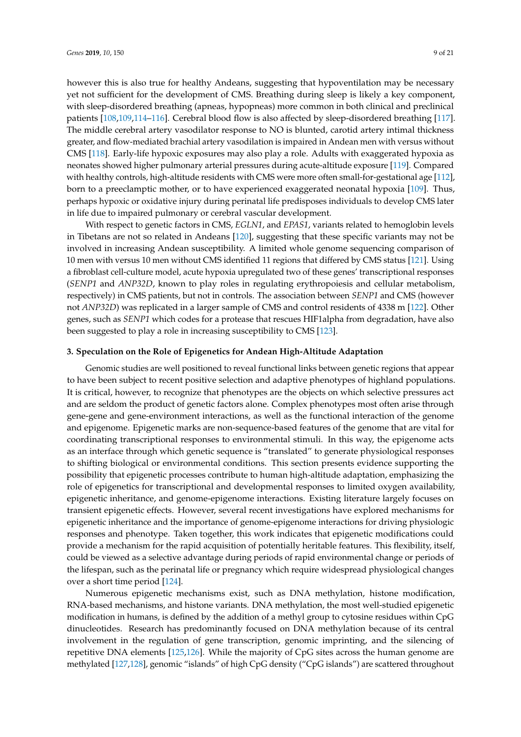however this is also true for healthy Andeans, suggesting that hypoventilation may be necessary yet not sufficient for the development of CMS. Breathing during sleep is likely a key component, with sleep-disordered breathing (apneas, hypopneas) more common in both clinical and preclinical patients [\[108,](#page-17-9)[109,](#page-17-10)[114](#page-18-1)[–116\]](#page-18-2). Cerebral blood flow is also affected by sleep-disordered breathing [\[117\]](#page-18-3). The middle cerebral artery vasodilator response to NO is blunted, carotid artery intimal thickness greater, and flow-mediated brachial artery vasodilation is impaired in Andean men with versus without CMS [\[118\]](#page-18-4). Early-life hypoxic exposures may also play a role. Adults with exaggerated hypoxia as neonates showed higher pulmonary arterial pressures during acute-altitude exposure [\[119\]](#page-18-5). Compared with healthy controls, high-altitude residents with CMS were more often small-for-gestational age [\[112\]](#page-17-13), born to a preeclamptic mother, or to have experienced exaggerated neonatal hypoxia [\[109\]](#page-17-10). Thus, perhaps hypoxic or oxidative injury during perinatal life predisposes individuals to develop CMS later in life due to impaired pulmonary or cerebral vascular development.

With respect to genetic factors in CMS, *EGLN1*, and *EPAS1*, variants related to hemoglobin levels in Tibetans are not so related in Andeans [\[120\]](#page-18-6), suggesting that these specific variants may not be involved in increasing Andean susceptibility. A limited whole genome sequencing comparison of 10 men with versus 10 men without CMS identified 11 regions that differed by CMS status [\[121\]](#page-18-7). Using a fibroblast cell-culture model, acute hypoxia upregulated two of these genes' transcriptional responses (*SENP1* and *ANP32D*, known to play roles in regulating erythropoiesis and cellular metabolism, respectively) in CMS patients, but not in controls. The association between *SENP1* and CMS (however not *ANP32D*) was replicated in a larger sample of CMS and control residents of 4338 m [\[122\]](#page-18-8). Other genes, such as *SENP1* which codes for a protease that rescues HIF1alpha from degradation, have also been suggested to play a role in increasing susceptibility to CMS [\[123\]](#page-18-9).

## **3. Speculation on the Role of Epigenetics for Andean High-Altitude Adaptation**

Genomic studies are well positioned to reveal functional links between genetic regions that appear to have been subject to recent positive selection and adaptive phenotypes of highland populations. It is critical, however, to recognize that phenotypes are the objects on which selective pressures act and are seldom the product of genetic factors alone. Complex phenotypes most often arise through gene-gene and gene-environment interactions, as well as the functional interaction of the genome and epigenome. Epigenetic marks are non-sequence-based features of the genome that are vital for coordinating transcriptional responses to environmental stimuli. In this way, the epigenome acts as an interface through which genetic sequence is "translated" to generate physiological responses to shifting biological or environmental conditions. This section presents evidence supporting the possibility that epigenetic processes contribute to human high-altitude adaptation, emphasizing the role of epigenetics for transcriptional and developmental responses to limited oxygen availability, epigenetic inheritance, and genome-epigenome interactions. Existing literature largely focuses on transient epigenetic effects. However, several recent investigations have explored mechanisms for epigenetic inheritance and the importance of genome-epigenome interactions for driving physiologic responses and phenotype. Taken together, this work indicates that epigenetic modifications could provide a mechanism for the rapid acquisition of potentially heritable features. This flexibility, itself, could be viewed as a selective advantage during periods of rapid environmental change or periods of the lifespan, such as the perinatal life or pregnancy which require widespread physiological changes over a short time period [\[124\]](#page-18-10).

Numerous epigenetic mechanisms exist, such as DNA methylation, histone modification, RNA-based mechanisms, and histone variants. DNA methylation, the most well-studied epigenetic modification in humans, is defined by the addition of a methyl group to cytosine residues within CpG dinucleotides. Research has predominantly focused on DNA methylation because of its central involvement in the regulation of gene transcription, genomic imprinting, and the silencing of repetitive DNA elements [\[125,](#page-18-11)[126\]](#page-18-12). While the majority of CpG sites across the human genome are methylated [\[127](#page-18-13)[,128\]](#page-18-14), genomic "islands" of high CpG density ("CpG islands") are scattered throughout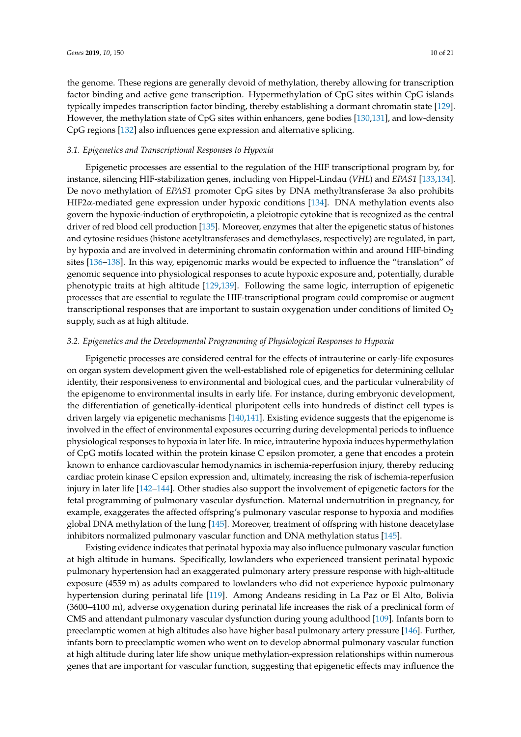the genome. These regions are generally devoid of methylation, thereby allowing for transcription factor binding and active gene transcription. Hypermethylation of CpG sites within CpG islands typically impedes transcription factor binding, thereby establishing a dormant chromatin state [\[129\]](#page-18-15). However, the methylation state of CpG sites within enhancers, gene bodies [\[130,](#page-18-16)[131\]](#page-18-17), and low-density CpG regions [\[132\]](#page-18-18) also influences gene expression and alternative splicing.

# *3.1. Epigenetics and Transcriptional Responses to Hypoxia*

Epigenetic processes are essential to the regulation of the HIF transcriptional program by, for instance, silencing HIF-stabilization genes, including von Hippel-Lindau (*VHL*) and *EPAS1* [\[133,](#page-19-0)[134\]](#page-19-1). De novo methylation of *EPAS1* promoter CpG sites by DNA methyltransferase 3a also prohibits HIF2 $\alpha$ -mediated gene expression under hypoxic conditions [\[134\]](#page-19-1). DNA methylation events also govern the hypoxic-induction of erythropoietin, a pleiotropic cytokine that is recognized as the central driver of red blood cell production [\[135\]](#page-19-2). Moreover, enzymes that alter the epigenetic status of histones and cytosine residues (histone acetyltransferases and demethylases, respectively) are regulated, in part, by hypoxia and are involved in determining chromatin conformation within and around HIF-binding sites [\[136](#page-19-3)[–138\]](#page-19-4). In this way, epigenomic marks would be expected to influence the "translation" of genomic sequence into physiological responses to acute hypoxic exposure and, potentially, durable phenotypic traits at high altitude [\[129,](#page-18-15)[139\]](#page-19-5). Following the same logic, interruption of epigenetic processes that are essential to regulate the HIF-transcriptional program could compromise or augment transcriptional responses that are important to sustain oxygenation under conditions of limited O<sub>2</sub> supply, such as at high altitude.

# *3.2. Epigenetics and the Developmental Programming of Physiological Responses to Hypoxia*

Epigenetic processes are considered central for the effects of intrauterine or early-life exposures on organ system development given the well-established role of epigenetics for determining cellular identity, their responsiveness to environmental and biological cues, and the particular vulnerability of the epigenome to environmental insults in early life. For instance, during embryonic development, the differentiation of genetically-identical pluripotent cells into hundreds of distinct cell types is driven largely via epigenetic mechanisms [\[140](#page-19-6)[,141\]](#page-19-7). Existing evidence suggests that the epigenome is involved in the effect of environmental exposures occurring during developmental periods to influence physiological responses to hypoxia in later life. In mice, intrauterine hypoxia induces hypermethylation of CpG motifs located within the protein kinase C epsilon promoter, a gene that encodes a protein known to enhance cardiovascular hemodynamics in ischemia-reperfusion injury, thereby reducing cardiac protein kinase C epsilon expression and, ultimately, increasing the risk of ischemia-reperfusion injury in later life [\[142](#page-19-8)[–144\]](#page-19-9). Other studies also support the involvement of epigenetic factors for the fetal programming of pulmonary vascular dysfunction. Maternal undernutrition in pregnancy, for example, exaggerates the affected offspring's pulmonary vascular response to hypoxia and modifies global DNA methylation of the lung [\[145\]](#page-19-10). Moreover, treatment of offspring with histone deacetylase inhibitors normalized pulmonary vascular function and DNA methylation status [\[145\]](#page-19-10).

Existing evidence indicates that perinatal hypoxia may also influence pulmonary vascular function at high altitude in humans. Specifically, lowlanders who experienced transient perinatal hypoxic pulmonary hypertension had an exaggerated pulmonary artery pressure response with high-altitude exposure (4559 m) as adults compared to lowlanders who did not experience hypoxic pulmonary hypertension during perinatal life [\[119\]](#page-18-5). Among Andeans residing in La Paz or El Alto, Bolivia (3600–4100 m), adverse oxygenation during perinatal life increases the risk of a preclinical form of CMS and attendant pulmonary vascular dysfunction during young adulthood [\[109\]](#page-17-10). Infants born to preeclamptic women at high altitudes also have higher basal pulmonary artery pressure [\[146\]](#page-19-11). Further, infants born to preeclamptic women who went on to develop abnormal pulmonary vascular function at high altitude during later life show unique methylation-expression relationships within numerous genes that are important for vascular function, suggesting that epigenetic effects may influence the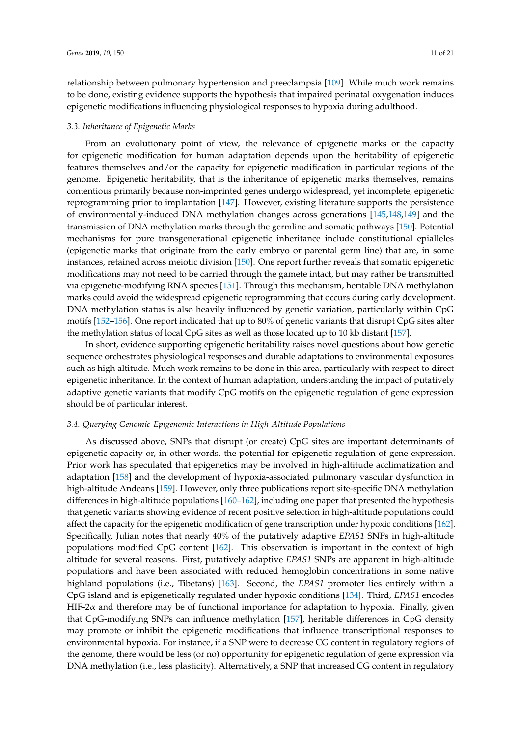relationship between pulmonary hypertension and preeclampsia [\[109\]](#page-17-10). While much work remains to be done, existing evidence supports the hypothesis that impaired perinatal oxygenation induces epigenetic modifications influencing physiological responses to hypoxia during adulthood.

# *3.3. Inheritance of Epigenetic Marks*

From an evolutionary point of view, the relevance of epigenetic marks or the capacity for epigenetic modification for human adaptation depends upon the heritability of epigenetic features themselves and/or the capacity for epigenetic modification in particular regions of the genome. Epigenetic heritability, that is the inheritance of epigenetic marks themselves, remains contentious primarily because non-imprinted genes undergo widespread, yet incomplete, epigenetic reprogramming prior to implantation [\[147\]](#page-19-12). However, existing literature supports the persistence of environmentally-induced DNA methylation changes across generations [\[145,](#page-19-10)[148,](#page-19-13)[149\]](#page-19-14) and the transmission of DNA methylation marks through the germline and somatic pathways [\[150\]](#page-19-15). Potential mechanisms for pure transgenerational epigenetic inheritance include constitutional epialleles (epigenetic marks that originate from the early embryo or parental germ line) that are, in some instances, retained across meiotic division [\[150\]](#page-19-15). One report further reveals that somatic epigenetic modifications may not need to be carried through the gamete intact, but may rather be transmitted via epigenetic-modifying RNA species [\[151\]](#page-19-16). Through this mechanism, heritable DNA methylation marks could avoid the widespread epigenetic reprogramming that occurs during early development. DNA methylation status is also heavily influenced by genetic variation, particularly within CpG motifs [\[152](#page-19-17)[–156\]](#page-20-0). One report indicated that up to 80% of genetic variants that disrupt CpG sites alter the methylation status of local CpG sites as well as those located up to 10 kb distant [\[157\]](#page-20-1).

In short, evidence supporting epigenetic heritability raises novel questions about how genetic sequence orchestrates physiological responses and durable adaptations to environmental exposures such as high altitude. Much work remains to be done in this area, particularly with respect to direct epigenetic inheritance. In the context of human adaptation, understanding the impact of putatively adaptive genetic variants that modify CpG motifs on the epigenetic regulation of gene expression should be of particular interest.

# *3.4. Querying Genomic-Epigenomic Interactions in High-Altitude Populations*

As discussed above, SNPs that disrupt (or create) CpG sites are important determinants of epigenetic capacity or, in other words, the potential for epigenetic regulation of gene expression. Prior work has speculated that epigenetics may be involved in high-altitude acclimatization and adaptation [\[158\]](#page-20-2) and the development of hypoxia-associated pulmonary vascular dysfunction in high-altitude Andeans [\[159\]](#page-20-3). However, only three publications report site-specific DNA methylation differences in high-altitude populations [\[160–](#page-20-4)[162\]](#page-20-5), including one paper that presented the hypothesis that genetic variants showing evidence of recent positive selection in high-altitude populations could affect the capacity for the epigenetic modification of gene transcription under hypoxic conditions [\[162\]](#page-20-5). Specifically, Julian notes that nearly 40% of the putatively adaptive *EPAS1* SNPs in high-altitude populations modified CpG content [\[162\]](#page-20-5). This observation is important in the context of high altitude for several reasons. First, putatively adaptive *EPAS1* SNPs are apparent in high-altitude populations and have been associated with reduced hemoglobin concentrations in some native highland populations (i.e., Tibetans) [\[163\]](#page-20-6). Second, the *EPAS1* promoter lies entirely within a CpG island and is epigenetically regulated under hypoxic conditions [\[134\]](#page-19-1). Third, *EPAS1* encodes HIF-2 $\alpha$  and therefore may be of functional importance for adaptation to hypoxia. Finally, given that CpG-modifying SNPs can influence methylation [\[157\]](#page-20-1), heritable differences in CpG density may promote or inhibit the epigenetic modifications that influence transcriptional responses to environmental hypoxia. For instance, if a SNP were to decrease CG content in regulatory regions of the genome, there would be less (or no) opportunity for epigenetic regulation of gene expression via DNA methylation (i.e., less plasticity). Alternatively, a SNP that increased CG content in regulatory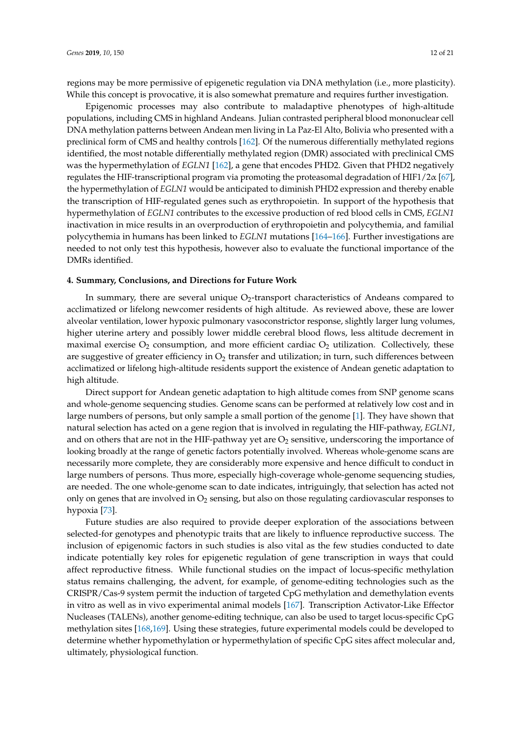regions may be more permissive of epigenetic regulation via DNA methylation (i.e., more plasticity). While this concept is provocative, it is also somewhat premature and requires further investigation.

Epigenomic processes may also contribute to maladaptive phenotypes of high-altitude populations, including CMS in highland Andeans. Julian contrasted peripheral blood mononuclear cell DNA methylation patterns between Andean men living in La Paz-El Alto, Bolivia who presented with a preclinical form of CMS and healthy controls [\[162\]](#page-20-5). Of the numerous differentially methylated regions identified, the most notable differentially methylated region (DMR) associated with preclinical CMS was the hypermethylation of *EGLN1* [\[162\]](#page-20-5), a gene that encodes PHD2. Given that PHD2 negatively regulates the HIF-transcriptional program via promoting the proteasomal degradation of HIF1/2 $\alpha$  [\[67\]](#page-15-11), the hypermethylation of *EGLN1* would be anticipated to diminish PHD2 expression and thereby enable the transcription of HIF-regulated genes such as erythropoietin. In support of the hypothesis that hypermethylation of *EGLN1* contributes to the excessive production of red blood cells in CMS, *EGLN1* inactivation in mice results in an overproduction of erythropoietin and polycythemia, and familial polycythemia in humans has been linked to *EGLN1* mutations [\[164–](#page-20-7)[166\]](#page-20-8). Further investigations are needed to not only test this hypothesis, however also to evaluate the functional importance of the DMRs identified.

## **4. Summary, Conclusions, and Directions for Future Work**

In summary, there are several unique  $O<sub>2</sub>$ -transport characteristics of Andeans compared to acclimatized or lifelong newcomer residents of high altitude. As reviewed above, these are lower alveolar ventilation, lower hypoxic pulmonary vasoconstrictor response, slightly larger lung volumes, higher uterine artery and possibly lower middle cerebral blood flows, less altitude decrement in maximal exercise  $O_2$  consumption, and more efficient cardiac  $O_2$  utilization. Collectively, these are suggestive of greater efficiency in  $O_2$  transfer and utilization; in turn, such differences between acclimatized or lifelong high-altitude residents support the existence of Andean genetic adaptation to high altitude.

Direct support for Andean genetic adaptation to high altitude comes from SNP genome scans and whole-genome sequencing studies. Genome scans can be performed at relatively low cost and in large numbers of persons, but only sample a small portion of the genome [\[1\]](#page-12-0). They have shown that natural selection has acted on a gene region that is involved in regulating the HIF-pathway, *EGLN1*, and on others that are not in the HIF-pathway yet are  $O_2$  sensitive, underscoring the importance of looking broadly at the range of genetic factors potentially involved. Whereas whole-genome scans are necessarily more complete, they are considerably more expensive and hence difficult to conduct in large numbers of persons. Thus more, especially high-coverage whole-genome sequencing studies, are needed. The one whole-genome scan to date indicates, intriguingly, that selection has acted not only on genes that are involved in  $O_2$  sensing, but also on those regulating cardiovascular responses to hypoxia [\[73\]](#page-15-17).

Future studies are also required to provide deeper exploration of the associations between selected-for genotypes and phenotypic traits that are likely to influence reproductive success. The inclusion of epigenomic factors in such studies is also vital as the few studies conducted to date indicate potentially key roles for epigenetic regulation of gene transcription in ways that could affect reproductive fitness. While functional studies on the impact of locus-specific methylation status remains challenging, the advent, for example, of genome-editing technologies such as the CRISPR/Cas-9 system permit the induction of targeted CpG methylation and demethylation events in vitro as well as in vivo experimental animal models [\[167\]](#page-20-9). Transcription Activator-Like Effector Nucleases (TALENs), another genome-editing technique, can also be used to target locus-specific CpG methylation sites [\[168](#page-20-10)[,169\]](#page-20-11). Using these strategies, future experimental models could be developed to determine whether hypomethylation or hypermethylation of specific CpG sites affect molecular and, ultimately, physiological function.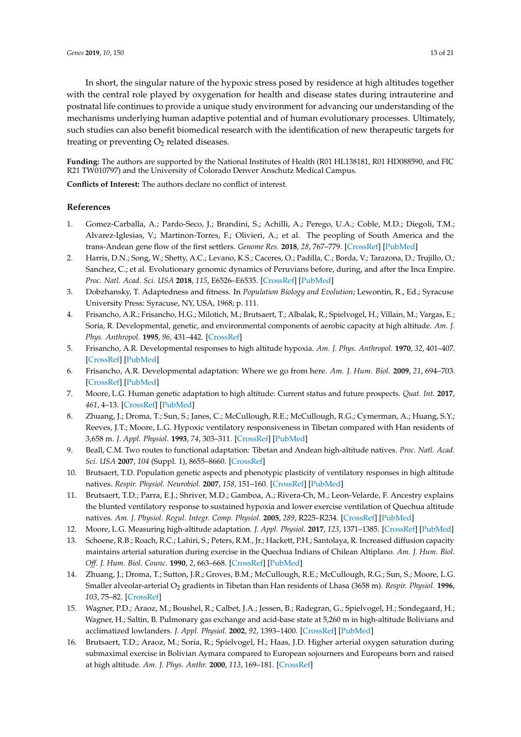In short, the singular nature of the hypoxic stress posed by residence at high altitudes together with the central role played by oxygenation for health and disease states during intrauterine and postnatal life continues to provide a unique study environment for advancing our understanding of the mechanisms underlying human adaptive potential and of human evolutionary processes. Ultimately, such studies can also benefit biomedical research with the identification of new therapeutic targets for treating or preventing  $O_2$  related diseases.

**Funding:** The authors are supported by the National Institutes of Health (R01 HL138181, R01 HD088590, and FIC R21 TW010797) and the University of Colorado Denver Anschutz Medical Campus.

**Conflicts of Interest:** The authors declare no conflict of interest.

# **References**

- <span id="page-12-0"></span>1. Gomez-Carballa, A.; Pardo-Seco, J.; Brandini, S.; Achilli, A.; Perego, U.A.; Coble, M.D.; Diegoli, T.M.; Alvarez-Iglesias, V.; Martinon-Torres, F.; Olivieri, A.; et al. The peopling of South America and the trans-Andean gene flow of the first settlers. *Genome Res.* **2018**, *28*, 767–779. [\[CrossRef\]](http://dx.doi.org/10.1101/gr.234674.118) [\[PubMed\]](http://www.ncbi.nlm.nih.gov/pubmed/29735605)
- <span id="page-12-1"></span>2. Harris, D.N.; Song, W.; Shetty, A.C.; Levano, K.S.; Caceres, O.; Padilla, C.; Borda, V.; Tarazona, D.; Trujillo, O.; Sanchez, C.; et al. Evolutionary genomic dynamics of Peruvians before, during, and after the Inca Empire. *Proc. Natl. Acad. Sci. USA* **2018**, *115*, E6526–E6535. [\[CrossRef\]](http://dx.doi.org/10.1073/pnas.1720798115) [\[PubMed\]](http://www.ncbi.nlm.nih.gov/pubmed/29946025)
- <span id="page-12-2"></span>3. Dobzhansky, T. Adaptedness and fitness. In *Population Biology and Evolution*; Lewontin, R., Ed.; Syracuse University Press: Syracuse, NY, USA, 1968; p. 111.
- <span id="page-12-3"></span>4. Frisancho, A.R.; Frisancho, H.G.; Milotich, M.; Brutsaert, T.; Albalak, R.; Spielvogel, H.; Villain, M.; Vargas, E.; Soria, R. Developmental, genetic, and environmental components of aerobic capacity at high altitude. *Am. J. Phys. Anthropol.* **1995**, *96*, 431–442. [\[CrossRef\]](http://dx.doi.org/10.1002/ajpa.1330960408)
- 5. Frisancho, A.R. Developmental responses to high altitude hypoxia. *Am. J. Phys. Anthropol.* **1970**, *32*, 401–407. [\[CrossRef\]](http://dx.doi.org/10.1002/ajpa.1330320310) [\[PubMed\]](http://www.ncbi.nlm.nih.gov/pubmed/4911586)
- <span id="page-12-4"></span>6. Frisancho, A.R. Developmental adaptation: Where we go from here. *Am. J. Hum. Biol.* **2009**, *21*, 694–703. [\[CrossRef\]](http://dx.doi.org/10.1002/ajhb.20891) [\[PubMed\]](http://www.ncbi.nlm.nih.gov/pubmed/19214999)
- <span id="page-12-5"></span>7. Moore, L.G. Human genetic adaptation to high altitude: Current status and future prospects. *Quat. Int.* **2017**, *461*, 4–13. [\[CrossRef\]](http://dx.doi.org/10.1016/j.quaint.2016.09.045) [\[PubMed\]](http://www.ncbi.nlm.nih.gov/pubmed/29375239)
- <span id="page-12-6"></span>8. Zhuang, J.; Droma, T.; Sun, S.; Janes, C.; McCullough, R.E.; McCullough, R.G.; Cymerman, A.; Huang, S.Y.; Reeves, J.T.; Moore, L.G. Hypoxic ventilatory responsiveness in Tibetan compared with Han residents of 3,658 m. *J. Appl. Physiol.* **1993**, *74*, 303–311. [\[CrossRef\]](http://dx.doi.org/10.1152/jappl.1993.74.1.303) [\[PubMed\]](http://www.ncbi.nlm.nih.gov/pubmed/8444707)
- <span id="page-12-14"></span>9. Beall, C.M. Two routes to functional adaptation: Tibetan and Andean high-altitude natives. *Proc. Natl. Acad. Sci. USA* **2007**, *104* (Suppl. 1), 8655–8660. [\[CrossRef\]](http://dx.doi.org/10.1073/pnas.0701985104)
- <span id="page-12-7"></span>10. Brutsaert, T.D. Population genetic aspects and phenotypic plasticity of ventilatory responses in high altitude natives. *Respir. Physiol. Neurobiol.* **2007**, *158*, 151–160. [\[CrossRef\]](http://dx.doi.org/10.1016/j.resp.2007.03.004) [\[PubMed\]](http://www.ncbi.nlm.nih.gov/pubmed/17400521)
- <span id="page-12-8"></span>11. Brutsaert, T.D.; Parra, E.J.; Shriver, M.D.; Gamboa, A.; Rivera-Ch, M.; Leon-Velarde, F. Ancestry explains the blunted ventilatory response to sustained hypoxia and lower exercise ventilation of Quechua altitude natives. *Am. J. Physiol. Regul. Integr. Comp. Physiol.* **2005**, *289*, R225–R234. [\[CrossRef\]](http://dx.doi.org/10.1152/ajpregu.00105.2005) [\[PubMed\]](http://www.ncbi.nlm.nih.gov/pubmed/15802561)
- <span id="page-12-9"></span>12. Moore, L.G. Measuring high-altitude adaptation. *J. Appl. Physiol.* **2017**, *123*, 1371–1385. [\[CrossRef\]](http://dx.doi.org/10.1152/japplphysiol.00321.2017) [\[PubMed\]](http://www.ncbi.nlm.nih.gov/pubmed/28860167)
- <span id="page-12-10"></span>13. Schoene, R.B.; Roach, R.C.; Lahiri, S.; Peters, R.M., Jr.; Hackett, P.H.; Santolaya, R. Increased diffusion capacity maintains arterial saturation during exercise in the Quechua Indians of Chilean Altiplano. *Am. J. Hum. Biol. Off. J. Hum. Biol. Counc.* **1990**, *2*, 663–668. [\[CrossRef\]](http://dx.doi.org/10.1002/ajhb.1310020609) [\[PubMed\]](http://www.ncbi.nlm.nih.gov/pubmed/28520127)
- <span id="page-12-13"></span>14. Zhuang, J.; Droma, T.; Sutton, J.R.; Groves, B.M.; McCullough, R.E.; McCullough, R.G.; Sun, S.; Moore, L.G. Smaller alveolar-arterial O<sup>2</sup> gradients in Tibetan than Han residents of Lhasa (3658 m). *Respir. Physiol.* **1996**, *103*, 75–82. [\[CrossRef\]](http://dx.doi.org/10.1016/0034-5687(95)00041-0)
- <span id="page-12-11"></span>15. Wagner, P.D.; Araoz, M.; Boushel, R.; Calbet, J.A.; Jessen, B.; Radegran, G.; Spielvogel, H.; Sondegaard, H.; Wagner, H.; Saltin, B. Pulmonary gas exchange and acid-base state at 5,260 m in high-altitude Bolivians and acclimatized lowlanders. *J. Appl. Physiol.* **2002**, *92*, 1393–1400. [\[CrossRef\]](http://dx.doi.org/10.1152/japplphysiol.00093.2001) [\[PubMed\]](http://www.ncbi.nlm.nih.gov/pubmed/11896002)
- <span id="page-12-12"></span>16. Brutsaert, T.D.; Araoz, M.; Soria, R.; Spielvogel, H.; Haas, J.D. Higher arterial oxygen saturation during submaximal exercise in Bolivian Aymara compared to European sojourners and Europeans born and raised at high altitude. *Am. J. Phys. Anthr.* **2000**, *113*, 169–181. [\[CrossRef\]](http://dx.doi.org/10.1002/1096-8644(200010)113:2<169::AID-AJPA3>3.0.CO;2-9)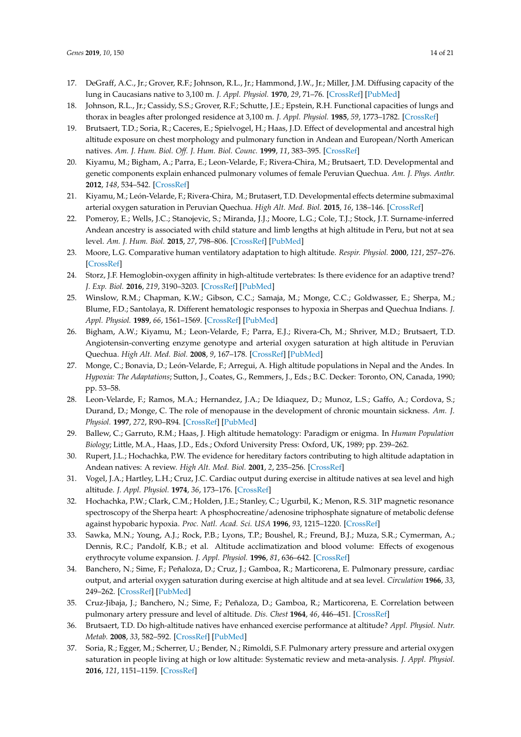- <span id="page-13-0"></span>17. DeGraff, A.C., Jr.; Grover, R.F.; Johnson, R.L., Jr.; Hammond, J.W., Jr.; Miller, J.M. Diffusing capacity of the lung in Caucasians native to 3,100 m. *J. Appl. Physiol.* **1970**, *29*, 71–76. [\[CrossRef\]](http://dx.doi.org/10.1152/jappl.1970.29.1.71) [\[PubMed\]](http://www.ncbi.nlm.nih.gov/pubmed/5425040)
- <span id="page-13-1"></span>18. Johnson, R.L., Jr.; Cassidy, S.S.; Grover, R.F.; Schutte, J.E.; Epstein, R.H. Functional capacities of lungs and thorax in beagles after prolonged residence at 3,100 m. *J. Appl. Physiol.* **1985**, *59*, 1773–1782. [\[CrossRef\]](http://dx.doi.org/10.1152/jappl.1985.59.6.1773)
- <span id="page-13-2"></span>19. Brutsaert, T.D.; Soria, R.; Caceres, E.; Spielvogel, H.; Haas, J.D. Effect of developmental and ancestral high altitude exposure on chest morphology and pulmonary function in Andean and European/North American natives. *Am. J. Hum. Biol. Off. J. Hum. Biol. Counc.* **1999**, *11*, 383–395. [\[CrossRef\]](http://dx.doi.org/10.1002/(SICI)1520-6300(1999)11:3<383::AID-AJHB9>3.0.CO;2-X)
- <span id="page-13-3"></span>20. Kiyamu, M.; Bigham, A.; Parra, E.; Leon-Velarde, F.; Rivera-Chira, M.; Brutsaert, T.D. Developmental and genetic components explain enhanced pulmonary volumes of female Peruvian Quechua. *Am. J. Phys. Anthr.* **2012**, *148*, 534–542. [\[CrossRef\]](http://dx.doi.org/10.1002/ajpa.22069)
- <span id="page-13-4"></span>21. Kiyamu, M.; León-Velarde, F.; Rivera-Chira, M.; Brutasert, T.D. Developmental effects determine submaximal arterial oxygen saturation in Peruvian Quechua. *High Alt. Med. Biol.* **2015**, *16*, 138–146. [\[CrossRef\]](http://dx.doi.org/10.1089/ham.2014.1126)
- <span id="page-13-5"></span>22. Pomeroy, E.; Wells, J.C.; Stanojevic, S.; Miranda, J.J.; Moore, L.G.; Cole, T.J.; Stock, J.T. Surname-inferred Andean ancestry is associated with child stature and limb lengths at high altitude in Peru, but not at sea level. *Am. J. Hum. Biol.* **2015**, *27*, 798–806. [\[CrossRef\]](http://dx.doi.org/10.1002/ajhb.22725) [\[PubMed\]](http://www.ncbi.nlm.nih.gov/pubmed/25960137)
- <span id="page-13-6"></span>23. Moore, L.G. Comparative human ventilatory adaptation to high altitude. *Respir. Physiol.* **2000**, *121*, 257–276. [\[CrossRef\]](http://dx.doi.org/10.1016/S0034-5687(00)00133-X)
- 24. Storz, J.F. Hemoglobin-oxygen affinity in high-altitude vertebrates: Is there evidence for an adaptive trend? *J. Exp. Biol.* **2016**, *219*, 3190–3203. [\[CrossRef\]](http://dx.doi.org/10.1242/jeb.127134) [\[PubMed\]](http://www.ncbi.nlm.nih.gov/pubmed/27802149)
- <span id="page-13-7"></span>25. Winslow, R.M.; Chapman, K.W.; Gibson, C.C.; Samaja, M.; Monge, C.C.; Goldwasser, E.; Sherpa, M.; Blume, F.D.; Santolaya, R. Different hematologic responses to hypoxia in Sherpas and Quechua Indians. *J. Appl. Physiol.* **1989**, *66*, 1561–1569. [\[CrossRef\]](http://dx.doi.org/10.1152/jappl.1989.66.4.1561) [\[PubMed\]](http://www.ncbi.nlm.nih.gov/pubmed/2732148)
- <span id="page-13-8"></span>26. Bigham, A.W.; Kiyamu, M.; Leon-Velarde, F.; Parra, E.J.; Rivera-Ch, M.; Shriver, M.D.; Brutsaert, T.D. Angiotensin-converting enzyme genotype and arterial oxygen saturation at high altitude in Peruvian Quechua. *High Alt. Med. Biol.* **2008**, *9*, 167–178. [\[CrossRef\]](http://dx.doi.org/10.1089/ham.2007.1066) [\[PubMed\]](http://www.ncbi.nlm.nih.gov/pubmed/18578648)
- <span id="page-13-9"></span>27. Monge, C.; Bonavia, D.; León-Velarde, F.; Arregui, A. High altitude populations in Nepal and the Andes. In *Hypoxia: The Adaptations*; Sutton, J., Coates, G., Remmers, J., Eds.; B.C. Decker: Toronto, ON, Canada, 1990; pp. 53–58.
- <span id="page-13-10"></span>28. Leon-Velarde, F.; Ramos, M.A.; Hernandez, J.A.; De Idiaquez, D.; Munoz, L.S.; Gaffo, A.; Cordova, S.; Durand, D.; Monge, C. The role of menopause in the development of chronic mountain sickness. *Am. J. Physiol.* **1997**, *272*, R90–R94. [\[CrossRef\]](http://dx.doi.org/10.1152/ajpregu.1997.272.1.R90) [\[PubMed\]](http://www.ncbi.nlm.nih.gov/pubmed/9038995)
- <span id="page-13-11"></span>29. Ballew, C.; Garruto, R.M.; Haas, J. High altitude hematology: Paradigm or enigma. In *Human Population Biology*; Little, M.A., Haas, J.D., Eds.; Oxford University Press: Oxford, UK, 1989; pp. 239–262.
- <span id="page-13-12"></span>30. Rupert, J.L.; Hochachka, P.W. The evidence for hereditary factors contributing to high altitude adaptation in Andean natives: A review. *High Alt. Med. Biol.* **2001**, *2*, 235–256. [\[CrossRef\]](http://dx.doi.org/10.1089/152702901750265332)
- <span id="page-13-13"></span>31. Vogel, J.A.; Hartley, L.H.; Cruz, J.C. Cardiac output during exercise in altitude natives at sea level and high altitude. *J. Appl. Physiol.* **1974**, *36*, 173–176. [\[CrossRef\]](http://dx.doi.org/10.1152/jappl.1974.36.2.173)
- <span id="page-13-14"></span>32. Hochachka, P.W.; Clark, C.M.; Holden, J.E.; Stanley, C.; Ugurbil, K.; Menon, R.S. 31P magnetic resonance spectroscopy of the Sherpa heart: A phosphocreatine/adenosine triphosphate signature of metabolic defense against hypobaric hypoxia. *Proc. Natl. Acad. Sci. USA* **1996**, *93*, 1215–1220. [\[CrossRef\]](http://dx.doi.org/10.1073/pnas.93.3.1215)
- <span id="page-13-15"></span>33. Sawka, M.N.; Young, A.J.; Rock, P.B.; Lyons, T.P.; Boushel, R.; Freund, B.J.; Muza, S.R.; Cymerman, A.; Dennis, R.C.; Pandolf, K.B.; et al. Altitude acclimatization and blood volume: Effects of exogenous erythrocyte volume expansion. *J. Appl. Physiol.* **1996**, *81*, 636–642. [\[CrossRef\]](http://dx.doi.org/10.1152/jappl.1996.81.2.636)
- <span id="page-13-16"></span>34. Banchero, N.; Sime, F.; Peñaloza, D.; Cruz, J.; Gamboa, R.; Marticorena, E. Pulmonary pressure, cardiac output, and arterial oxygen saturation during exercise at high altitude and at sea level. *Circulation* **1966**, *33*, 249–262. [\[CrossRef\]](http://dx.doi.org/10.1161/01.CIR.33.2.249) [\[PubMed\]](http://www.ncbi.nlm.nih.gov/pubmed/25823098)
- <span id="page-13-17"></span>35. Cruz-Jibaja, J.; Banchero, N.; Sime, F.; Peñaloza, D.; Gamboa, R.; Marticorena, E. Correlation between pulmonary artery pressure and level of altitude. *Dis. Chest* **1964**, *46*, 446–451. [\[CrossRef\]](http://dx.doi.org/10.1378/chest.46.4.446)
- <span id="page-13-18"></span>36. Brutsaert, T.D. Do high-altitude natives have enhanced exercise performance at altitude? *Appl. Physiol. Nutr. Metab.* **2008**, *33*, 582–592. [\[CrossRef\]](http://dx.doi.org/10.1139/H08-009) [\[PubMed\]](http://www.ncbi.nlm.nih.gov/pubmed/18461115)
- <span id="page-13-19"></span>37. Soria, R.; Egger, M.; Scherrer, U.; Bender, N.; Rimoldi, S.F. Pulmonary artery pressure and arterial oxygen saturation in people living at high or low altitude: Systematic review and meta-analysis. *J. Appl. Physiol.* **2016**, *121*, 1151–1159. [\[CrossRef\]](http://dx.doi.org/10.1152/japplphysiol.00394.2016)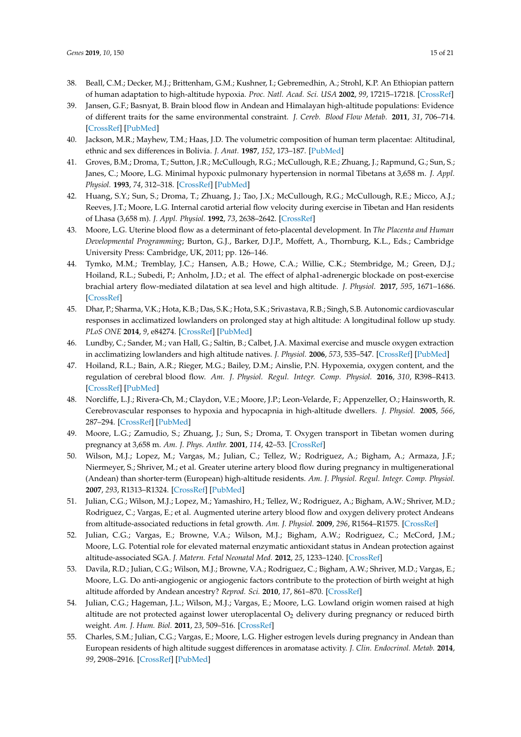- <span id="page-14-17"></span>38. Beall, C.M.; Decker, M.J.; Brittenham, G.M.; Kushner, I.; Gebremedhin, A.; Strohl, K.P. An Ethiopian pattern of human adaptation to high-altitude hypoxia. *Proc. Natl. Acad. Sci. USA* **2002**, *99*, 17215–17218. [\[CrossRef\]](http://dx.doi.org/10.1073/pnas.252649199)
- <span id="page-14-3"></span>39. Jansen, G.F.; Basnyat, B. Brain blood flow in Andean and Himalayan high-altitude populations: Evidence of different traits for the same environmental constraint. *J. Cereb. Blood Flow Metab.* **2011**, *31*, 706–714. [\[CrossRef\]](http://dx.doi.org/10.1038/jcbfm.2010.150) [\[PubMed\]](http://www.ncbi.nlm.nih.gov/pubmed/20736959)
- <span id="page-14-0"></span>40. Jackson, M.R.; Mayhew, T.M.; Haas, J.D. The volumetric composition of human term placentae: Altitudinal, ethnic and sex differences in Bolivia. *J. Anat.* **1987**, *152*, 173–187. [\[PubMed\]](http://www.ncbi.nlm.nih.gov/pubmed/3654368)
- <span id="page-14-1"></span>41. Groves, B.M.; Droma, T.; Sutton, J.R.; McCullough, R.G.; McCullough, R.E.; Zhuang, J.; Rapmund, G.; Sun, S.; Janes, C.; Moore, L.G. Minimal hypoxic pulmonary hypertension in normal Tibetans at 3,658 m. *J. Appl. Physiol.* **1993**, *74*, 312–318. [\[CrossRef\]](http://dx.doi.org/10.1152/jappl.1993.74.1.312) [\[PubMed\]](http://www.ncbi.nlm.nih.gov/pubmed/8444708)
- <span id="page-14-2"></span>42. Huang, S.Y.; Sun, S.; Droma, T.; Zhuang, J.; Tao, J.X.; McCullough, R.G.; McCullough, R.E.; Micco, A.J.; Reeves, J.T.; Moore, L.G. Internal carotid arterial flow velocity during exercise in Tibetan and Han residents of Lhasa (3,658 m). *J. Appl. Physiol.* **1992**, *73*, 2638–2642. [\[CrossRef\]](http://dx.doi.org/10.1152/jappl.1992.73.6.2638)
- <span id="page-14-4"></span>43. Moore, L.G. Uterine blood flow as a determinant of feto-placental development. In *The Placenta and Human Developmental Programming*; Burton, G.J., Barker, D.J.P., Moffett, A., Thornburg, K.L., Eds.; Cambridge University Press: Cambridge, UK, 2011; pp. 126–146.
- <span id="page-14-5"></span>44. Tymko, M.M.; Tremblay, J.C.; Hansen, A.B.; Howe, C.A.; Willie, C.K.; Stembridge, M.; Green, D.J.; Hoiland, R.L.; Subedi, P.; Anholm, J.D.; et al. The effect of alpha1-adrenergic blockade on post-exercise brachial artery flow-mediated dilatation at sea level and high altitude. *J. Physiol.* **2017**, *595*, 1671–1686. [\[CrossRef\]](http://dx.doi.org/10.1113/JP273183)
- <span id="page-14-6"></span>45. Dhar, P.; Sharma, V.K.; Hota, K.B.; Das, S.K.; Hota, S.K.; Srivastava, R.B.; Singh, S.B. Autonomic cardiovascular responses in acclimatized lowlanders on prolonged stay at high altitude: A longitudinal follow up study. *PLoS ONE* **2014**, *9*, e84274. [\[CrossRef\]](http://dx.doi.org/10.1371/journal.pone.0084274) [\[PubMed\]](http://www.ncbi.nlm.nih.gov/pubmed/24404157)
- <span id="page-14-7"></span>46. Lundby, C.; Sander, M.; van Hall, G.; Saltin, B.; Calbet, J.A. Maximal exercise and muscle oxygen extraction in acclimatizing lowlanders and high altitude natives. *J. Physiol.* **2006**, *573*, 535–547. [\[CrossRef\]](http://dx.doi.org/10.1113/jphysiol.2006.106765) [\[PubMed\]](http://www.ncbi.nlm.nih.gov/pubmed/16581864)
- <span id="page-14-8"></span>47. Hoiland, R.L.; Bain, A.R.; Rieger, M.G.; Bailey, D.M.; Ainslie, P.N. Hypoxemia, oxygen content, and the regulation of cerebral blood flow. *Am. J. Physiol. Regul. Integr. Comp. Physiol.* **2016**, *310*, R398–R413. [\[CrossRef\]](http://dx.doi.org/10.1152/ajpregu.00270.2015) [\[PubMed\]](http://www.ncbi.nlm.nih.gov/pubmed/26676248)
- <span id="page-14-9"></span>48. Norcliffe, L.J.; Rivera-Ch, M.; Claydon, V.E.; Moore, J.P.; Leon-Velarde, F.; Appenzeller, O.; Hainsworth, R. Cerebrovascular responses to hypoxia and hypocapnia in high-altitude dwellers. *J. Physiol.* **2005**, *566*, 287–294. [\[CrossRef\]](http://dx.doi.org/10.1113/jphysiol.2005.086629) [\[PubMed\]](http://www.ncbi.nlm.nih.gov/pubmed/15860531)
- <span id="page-14-10"></span>49. Moore, L.G.; Zamudio, S.; Zhuang, J.; Sun, S.; Droma, T. Oxygen transport in Tibetan women during pregnancy at 3,658 m. *Am. J. Phys. Anthr.* **2001**, *114*, 42–53. [\[CrossRef\]](http://dx.doi.org/10.1002/1096-8644(200101)114:1<42::AID-AJPA1004>3.0.CO;2-B)
- <span id="page-14-16"></span>50. Wilson, M.J.; Lopez, M.; Vargas, M.; Julian, C.; Tellez, W.; Rodriguez, A.; Bigham, A.; Armaza, J.F.; Niermeyer, S.; Shriver, M.; et al. Greater uterine artery blood flow during pregnancy in multigenerational (Andean) than shorter-term (European) high-altitude residents. *Am. J. Physiol. Regul. Integr. Comp. Physiol.* **2007**, *293*, R1313–R1324. [\[CrossRef\]](http://dx.doi.org/10.1152/ajpregu.00806.2006) [\[PubMed\]](http://www.ncbi.nlm.nih.gov/pubmed/17581833)
- <span id="page-14-11"></span>51. Julian, C.G.; Wilson, M.J.; Lopez, M.; Yamashiro, H.; Tellez, W.; Rodriguez, A.; Bigham, A.W.; Shriver, M.D.; Rodriguez, C.; Vargas, E.; et al. Augmented uterine artery blood flow and oxygen delivery protect Andeans from altitude-associated reductions in fetal growth. *Am. J. Physiol.* **2009**, *296*, R1564–R1575. [\[CrossRef\]](http://dx.doi.org/10.1152/ajpregu.90945.2008)
- <span id="page-14-12"></span>52. Julian, C.G.; Vargas, E.; Browne, V.A.; Wilson, M.J.; Bigham, A.W.; Rodriguez, C.; McCord, J.M.; Moore, L.G. Potential role for elevated maternal enzymatic antioxidant status in Andean protection against altitude-associated SGA. *J. Matern. Fetal Neonatal Med.* **2012**, *25*, 1233–1240. [\[CrossRef\]](http://dx.doi.org/10.3109/14767058.2011.636102)
- <span id="page-14-13"></span>53. Davila, R.D.; Julian, C.G.; Wilson, M.J.; Browne, V.A.; Rodriguez, C.; Bigham, A.W.; Shriver, M.D.; Vargas, E.; Moore, L.G. Do anti-angiogenic or angiogenic factors contribute to the protection of birth weight at high altitude afforded by Andean ancestry? *Reprod. Sci.* **2010**, *17*, 861–870. [\[CrossRef\]](http://dx.doi.org/10.1177/1933719110372418)
- <span id="page-14-14"></span>54. Julian, C.G.; Hageman, J.L.; Wilson, M.J.; Vargas, E.; Moore, L.G. Lowland origin women raised at high altitude are not protected against lower uteroplacental  $O<sub>2</sub>$  delivery during pregnancy or reduced birth weight. *Am. J. Hum. Biol.* **2011**, *23*, 509–516. [\[CrossRef\]](http://dx.doi.org/10.1002/ajhb.21167)
- <span id="page-14-15"></span>55. Charles, S.M.; Julian, C.G.; Vargas, E.; Moore, L.G. Higher estrogen levels during pregnancy in Andean than European residents of high altitude suggest differences in aromatase activity. *J. Clin. Endocrinol. Metab.* **2014**, *99*, 2908–2916. [\[CrossRef\]](http://dx.doi.org/10.1210/jc.2013-4102) [\[PubMed\]](http://www.ncbi.nlm.nih.gov/pubmed/24684460)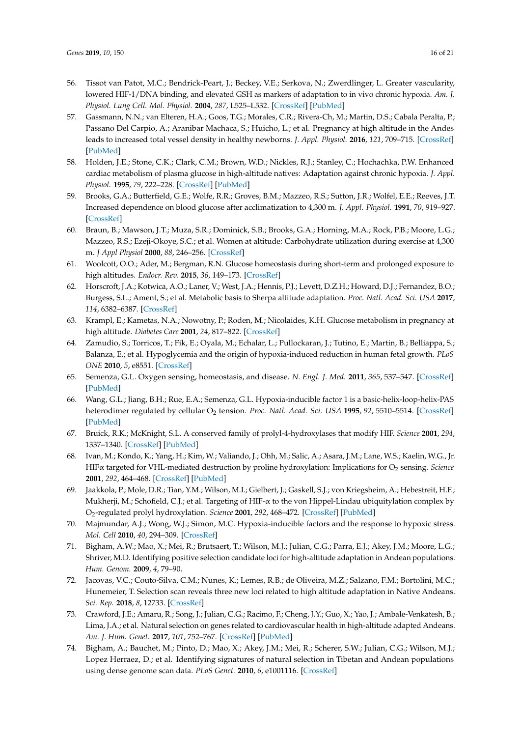- <span id="page-15-0"></span>56. Tissot van Patot, M.C.; Bendrick-Peart, J.; Beckey, V.E.; Serkova, N.; Zwerdlinger, L. Greater vascularity, lowered HIF-1/DNA binding, and elevated GSH as markers of adaptation to in vivo chronic hypoxia. *Am. J. Physiol. Lung Cell. Mol. Physiol.* **2004**, *287*, L525–L532. [\[CrossRef\]](http://dx.doi.org/10.1152/ajplung.00203.2003) [\[PubMed\]](http://www.ncbi.nlm.nih.gov/pubmed/15132953)
- <span id="page-15-1"></span>57. Gassmann, N.N.; van Elteren, H.A.; Goos, T.G.; Morales, C.R.; Rivera-Ch, M.; Martin, D.S.; Cabala Peralta, P.; Passano Del Carpio, A.; Aranibar Machaca, S.; Huicho, L.; et al. Pregnancy at high altitude in the Andes leads to increased total vessel density in healthy newborns. *J. Appl. Physiol.* **2016**, *121*, 709–715. [\[CrossRef\]](http://dx.doi.org/10.1152/japplphysiol.00561.2016) [\[PubMed\]](http://www.ncbi.nlm.nih.gov/pubmed/27445300)
- <span id="page-15-2"></span>58. Holden, J.E.; Stone, C.K.; Clark, C.M.; Brown, W.D.; Nickles, R.J.; Stanley, C.; Hochachka, P.W. Enhanced cardiac metabolism of plasma glucose in high-altitude natives: Adaptation against chronic hypoxia. *J. Appl. Physiol.* **1995**, *79*, 222–228. [\[CrossRef\]](http://dx.doi.org/10.1152/jappl.1995.79.1.222) [\[PubMed\]](http://www.ncbi.nlm.nih.gov/pubmed/7559223)
- <span id="page-15-3"></span>59. Brooks, G.A.; Butterfield, G.E.; Wolfe, R.R.; Groves, B.M.; Mazzeo, R.S.; Sutton, J.R.; Wolfel, E.E.; Reeves, J.T. Increased dependence on blood glucose after acclimatization to 4,300 m. *J. Appl. Physiol.* **1991**, *70*, 919–927. [\[CrossRef\]](http://dx.doi.org/10.1152/jappl.1991.70.2.919)
- <span id="page-15-4"></span>60. Braun, B.; Mawson, J.T.; Muza, S.R.; Dominick, S.B.; Brooks, G.A.; Horning, M.A.; Rock, P.B.; Moore, L.G.; Mazzeo, R.S.; Ezeji-Okoye, S.C.; et al. Women at altitude: Carbohydrate utilization during exercise at 4,300 m. *J Appl Physiol* **2000**, *88*, 246–256. [\[CrossRef\]](http://dx.doi.org/10.1152/jappl.2000.88.1.246)
- <span id="page-15-5"></span>61. Woolcott, O.O.; Ader, M.; Bergman, R.N. Glucose homeostasis during short-term and prolonged exposure to high altitudes. *Endocr. Rev.* **2015**, *36*, 149–173. [\[CrossRef\]](http://dx.doi.org/10.1210/er.2014-1063)
- <span id="page-15-6"></span>62. Horscroft, J.A.; Kotwica, A.O.; Laner, V.; West, J.A.; Hennis, P.J.; Levett, D.Z.H.; Howard, D.J.; Fernandez, B.O.; Burgess, S.L.; Ament, S.; et al. Metabolic basis to Sherpa altitude adaptation. *Proc. Natl. Acad. Sci. USA* **2017**, *114*, 6382–6387. [\[CrossRef\]](http://dx.doi.org/10.1073/pnas.1700527114)
- <span id="page-15-7"></span>63. Krampl, E.; Kametas, N.A.; Nowotny, P.; Roden, M.; Nicolaides, K.H. Glucose metabolism in pregnancy at high altitude. *Diabetes Care* **2001**, *24*, 817–822. [\[CrossRef\]](http://dx.doi.org/10.2337/diacare.24.5.817)
- <span id="page-15-8"></span>64. Zamudio, S.; Torricos, T.; Fik, E.; Oyala, M.; Echalar, L.; Pullockaran, J.; Tutino, E.; Martin, B.; Belliappa, S.; Balanza, E.; et al. Hypoglycemia and the origin of hypoxia-induced reduction in human fetal growth. *PLoS ONE* **2010**, *5*, e8551. [\[CrossRef\]](http://dx.doi.org/10.1371/journal.pone.0008551)
- <span id="page-15-9"></span>65. Semenza, G.L. Oxygen sensing, homeostasis, and disease. *N. Engl. J. Med.* **2011**, *365*, 537–547. [\[CrossRef\]](http://dx.doi.org/10.1056/NEJMra1011165) [\[PubMed\]](http://www.ncbi.nlm.nih.gov/pubmed/21830968)
- <span id="page-15-10"></span>66. Wang, G.L.; Jiang, B.H.; Rue, E.A.; Semenza, G.L. Hypoxia-inducible factor 1 is a basic-helix-loop-helix-PAS heterodimer regulated by cellular O<sub>2</sub> tension. *Proc. Natl. Acad. Sci. USA* **1995**, 92, 5510–5514. [\[CrossRef\]](http://dx.doi.org/10.1073/pnas.92.12.5510) [\[PubMed\]](http://www.ncbi.nlm.nih.gov/pubmed/7539918)
- <span id="page-15-11"></span>67. Bruick, R.K.; McKnight, S.L. A conserved family of prolyl-4-hydroxylases that modify HIF. *Science* **2001**, *294*, 1337–1340. [\[CrossRef\]](http://dx.doi.org/10.1126/science.1066373) [\[PubMed\]](http://www.ncbi.nlm.nih.gov/pubmed/11598268)
- <span id="page-15-12"></span>68. Ivan, M.; Kondo, K.; Yang, H.; Kim, W.; Valiando, J.; Ohh, M.; Salic, A.; Asara, J.M.; Lane, W.S.; Kaelin, W.G., Jr. HIFα targeted for VHL-mediated destruction by proline hydroxylation: Implications for O<sup>2</sup> sensing. *Science* **2001**, *292*, 464–468. [\[CrossRef\]](http://dx.doi.org/10.1126/science.1059817) [\[PubMed\]](http://www.ncbi.nlm.nih.gov/pubmed/11292862)
- <span id="page-15-13"></span>69. Jaakkola, P.; Mole, D.R.; Tian, Y.M.; Wilson, M.I.; Gielbert, J.; Gaskell, S.J.; von Kriegsheim, A.; Hebestreit, H.F.; Mukherji, M.; Schofield, C.J.; et al. Targeting of HIF-α to the von Hippel-Lindau ubiquitylation complex by O<sup>2</sup> -regulated prolyl hydroxylation. *Science* **2001**, *292*, 468–472. [\[CrossRef\]](http://dx.doi.org/10.1126/science.1059796) [\[PubMed\]](http://www.ncbi.nlm.nih.gov/pubmed/11292861)
- <span id="page-15-14"></span>70. Majmundar, A.J.; Wong, W.J.; Simon, M.C. Hypoxia-inducible factors and the response to hypoxic stress. *Mol. Cell* **2010**, *40*, 294–309. [\[CrossRef\]](http://dx.doi.org/10.1016/j.molcel.2010.09.022)
- <span id="page-15-15"></span>71. Bigham, A.W.; Mao, X.; Mei, R.; Brutsaert, T.; Wilson, M.J.; Julian, C.G.; Parra, E.J.; Akey, J.M.; Moore, L.G.; Shriver, M.D. Identifying positive selection candidate loci for high-altitude adaptation in Andean populations. *Hum. Genom.* **2009**, *4*, 79–90.
- <span id="page-15-16"></span>72. Jacovas, V.C.; Couto-Silva, C.M.; Nunes, K.; Lemes, R.B.; de Oliveira, M.Z.; Salzano, F.M.; Bortolini, M.C.; Hunemeier, T. Selection scan reveals three new loci related to high altitude adaptation in Native Andeans. *Sci. Rep.* **2018**, *8*, 12733. [\[CrossRef\]](http://dx.doi.org/10.1038/s41598-018-31100-6)
- <span id="page-15-17"></span>73. Crawford, J.E.; Amaru, R.; Song, J.; Julian, C.G.; Racimo, F.; Cheng, J.Y.; Guo, X.; Yao, J.; Ambale-Venkatesh, B.; Lima, J.A.; et al. Natural selection on genes related to cardiovascular health in high-altitude adapted Andeans. *Am. J. Hum. Genet.* **2017**, *101*, 752–767. [\[CrossRef\]](http://dx.doi.org/10.1016/j.ajhg.2017.09.023) [\[PubMed\]](http://www.ncbi.nlm.nih.gov/pubmed/29100088)
- <span id="page-15-18"></span>74. Bigham, A.; Bauchet, M.; Pinto, D.; Mao, X.; Akey, J.M.; Mei, R.; Scherer, S.W.; Julian, C.G.; Wilson, M.J.; Lopez Herraez, D.; et al. Identifying signatures of natural selection in Tibetan and Andean populations using dense genome scan data. *PLoS Genet.* **2010**, *6*, e1001116. [\[CrossRef\]](http://dx.doi.org/10.1371/journal.pgen.1001116)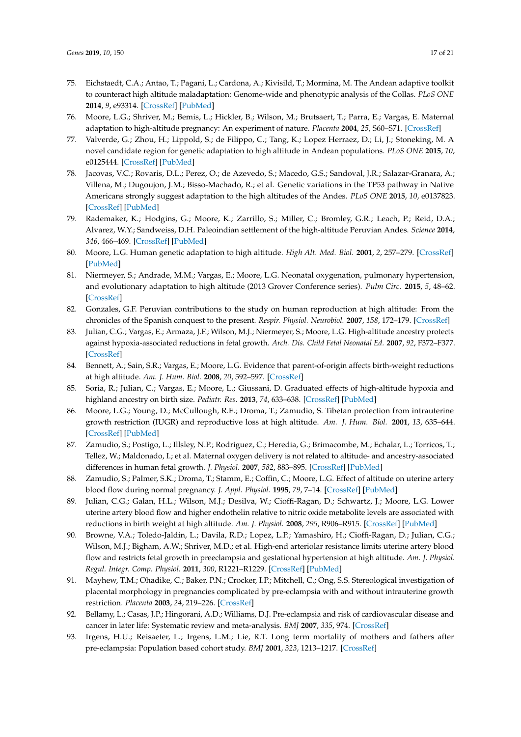- <span id="page-16-0"></span>75. Eichstaedt, C.A.; Antao, T.; Pagani, L.; Cardona, A.; Kivisild, T.; Mormina, M. The Andean adaptive toolkit to counteract high altitude maladaptation: Genome-wide and phenotypic analysis of the Collas. *PLoS ONE* **2014**, *9*, e93314. [\[CrossRef\]](http://dx.doi.org/10.1371/journal.pone.0093314) [\[PubMed\]](http://www.ncbi.nlm.nih.gov/pubmed/24686296)
- <span id="page-16-1"></span>76. Moore, L.G.; Shriver, M.; Bemis, L.; Hickler, B.; Wilson, M.; Brutsaert, T.; Parra, E.; Vargas, E. Maternal adaptation to high-altitude pregnancy: An experiment of nature. *Placenta* **2004**, *25*, S60–S71. [\[CrossRef\]](http://dx.doi.org/10.1016/j.placenta.2004.01.008)
- <span id="page-16-2"></span>77. Valverde, G.; Zhou, H.; Lippold, S.; de Filippo, C.; Tang, K.; Lopez Herraez, D.; Li, J.; Stoneking, M. A novel candidate region for genetic adaptation to high altitude in Andean populations. *PLoS ONE* **2015**, *10*, e0125444. [\[CrossRef\]](http://dx.doi.org/10.1371/journal.pone.0125444) [\[PubMed\]](http://www.ncbi.nlm.nih.gov/pubmed/25961286)
- <span id="page-16-3"></span>78. Jacovas, V.C.; Rovaris, D.L.; Perez, O.; de Azevedo, S.; Macedo, G.S.; Sandoval, J.R.; Salazar-Granara, A.; Villena, M.; Dugoujon, J.M.; Bisso-Machado, R.; et al. Genetic variations in the TP53 pathway in Native Americans strongly suggest adaptation to the high altitudes of the Andes. *PLoS ONE* **2015**, *10*, e0137823. [\[CrossRef\]](http://dx.doi.org/10.1371/journal.pone.0137823) [\[PubMed\]](http://www.ncbi.nlm.nih.gov/pubmed/26382048)
- <span id="page-16-4"></span>79. Rademaker, K.; Hodgins, G.; Moore, K.; Zarrillo, S.; Miller, C.; Bromley, G.R.; Leach, P.; Reid, D.A.; Alvarez, W.Y.; Sandweiss, D.H. Paleoindian settlement of the high-altitude Peruvian Andes. *Science* **2014**, *346*, 466–469. [\[CrossRef\]](http://dx.doi.org/10.1126/science.1258260) [\[PubMed\]](http://www.ncbi.nlm.nih.gov/pubmed/25342802)
- <span id="page-16-5"></span>80. Moore, L.G. Human genetic adaptation to high altitude. *High Alt. Med. Biol.* **2001**, *2*, 257–279. [\[CrossRef\]](http://dx.doi.org/10.1089/152702901750265341) [\[PubMed\]](http://www.ncbi.nlm.nih.gov/pubmed/11443005)
- <span id="page-16-6"></span>81. Niermeyer, S.; Andrade, M.M.; Vargas, E.; Moore, L.G. Neonatal oxygenation, pulmonary hypertension, and evolutionary adaptation to high altitude (2013 Grover Conference series). *Pulm Circ.* **2015**, *5*, 48–62. [\[CrossRef\]](http://dx.doi.org/10.1086/679719)
- <span id="page-16-7"></span>82. Gonzales, G.F. Peruvian contributions to the study on human reproduction at high altitude: From the chronicles of the Spanish conquest to the present. *Respir. Physiol. Neurobiol.* **2007**, *158*, 172–179. [\[CrossRef\]](http://dx.doi.org/10.1016/j.resp.2007.03.015)
- <span id="page-16-8"></span>83. Julian, C.G.; Vargas, E.; Armaza, J.F.; Wilson, M.J.; Niermeyer, S.; Moore, L.G. High-altitude ancestry protects against hypoxia-associated reductions in fetal growth. *Arch. Dis. Child Fetal Neonatal Ed.* **2007**, *92*, F372–F377. [\[CrossRef\]](http://dx.doi.org/10.1136/adc.2006.109579)
- 84. Bennett, A.; Sain, S.R.; Vargas, E.; Moore, L.G. Evidence that parent-of-origin affects birth-weight reductions at high altitude. *Am. J. Hum. Biol.* **2008**, *20*, 592–597. [\[CrossRef\]](http://dx.doi.org/10.1002/ajhb.20784)
- <span id="page-16-9"></span>85. Soria, R.; Julian, C.; Vargas, E.; Moore, L.; Giussani, D. Graduated effects of high-altitude hypoxia and highland ancestry on birth size. *Pediatr. Res.* **2013**, *74*, 633–638. [\[CrossRef\]](http://dx.doi.org/10.1038/pr.2013.150) [\[PubMed\]](http://www.ncbi.nlm.nih.gov/pubmed/23999073)
- <span id="page-16-10"></span>86. Moore, L.G.; Young, D.; McCullough, R.E.; Droma, T.; Zamudio, S. Tibetan protection from intrauterine growth restriction (IUGR) and reproductive loss at high altitude. *Am. J. Hum. Biol.* **2001**, *13*, 635–644. [\[CrossRef\]](http://dx.doi.org/10.1002/ajhb.1102) [\[PubMed\]](http://www.ncbi.nlm.nih.gov/pubmed/11505472)
- <span id="page-16-11"></span>87. Zamudio, S.; Postigo, L.; Illsley, N.P.; Rodriguez, C.; Heredia, G.; Brimacombe, M.; Echalar, L.; Torricos, T.; Tellez, W.; Maldonado, I.; et al. Maternal oxygen delivery is not related to altitude- and ancestry-associated differences in human fetal growth. *J. Physiol.* **2007**, *582*, 883–895. [\[CrossRef\]](http://dx.doi.org/10.1113/jphysiol.2007.130708) [\[PubMed\]](http://www.ncbi.nlm.nih.gov/pubmed/17510190)
- <span id="page-16-12"></span>88. Zamudio, S.; Palmer, S.K.; Droma, T.; Stamm, E.; Coffin, C.; Moore, L.G. Effect of altitude on uterine artery blood flow during normal pregnancy. *J. Appl. Physiol.* **1995**, *79*, 7–14. [\[CrossRef\]](http://dx.doi.org/10.1152/jappl.1995.79.1.7) [\[PubMed\]](http://www.ncbi.nlm.nih.gov/pubmed/7559250)
- 89. Julian, C.G.; Galan, H.L.; Wilson, M.J.; Desilva, W.; Cioffi-Ragan, D.; Schwartz, J.; Moore, L.G. Lower uterine artery blood flow and higher endothelin relative to nitric oxide metabolite levels are associated with reductions in birth weight at high altitude. *Am. J. Physiol.* **2008**, *295*, R906–R915. [\[CrossRef\]](http://dx.doi.org/10.1152/ajpregu.00164.2008) [\[PubMed\]](http://www.ncbi.nlm.nih.gov/pubmed/18579652)
- <span id="page-16-13"></span>90. Browne, V.A.; Toledo-Jaldin, L.; Davila, R.D.; Lopez, L.P.; Yamashiro, H.; Cioffi-Ragan, D.; Julian, C.G.; Wilson, M.J.; Bigham, A.W.; Shriver, M.D.; et al. High-end arteriolar resistance limits uterine artery blood flow and restricts fetal growth in preeclampsia and gestational hypertension at high altitude. *Am. J. Physiol. Regul. Integr. Comp. Physiol.* **2011**, *300*, R1221–R1229. [\[CrossRef\]](http://dx.doi.org/10.1152/ajpregu.91046.2008) [\[PubMed\]](http://www.ncbi.nlm.nih.gov/pubmed/21325643)
- <span id="page-16-14"></span>91. Mayhew, T.M.; Ohadike, C.; Baker, P.N.; Crocker, I.P.; Mitchell, C.; Ong, S.S. Stereological investigation of placental morphology in pregnancies complicated by pre-eclampsia with and without intrauterine growth restriction. *Placenta* **2003**, *24*, 219–226. [\[CrossRef\]](http://dx.doi.org/10.1053/plac.2002.0900)
- <span id="page-16-15"></span>92. Bellamy, L.; Casas, J.P.; Hingorani, A.D.; Williams, D.J. Pre-eclampsia and risk of cardiovascular disease and cancer in later life: Systematic review and meta-analysis. *BMJ* **2007**, *335*, 974. [\[CrossRef\]](http://dx.doi.org/10.1136/bmj.39335.385301.BE)
- 93. Irgens, H.U.; Reisaeter, L.; Irgens, L.M.; Lie, R.T. Long term mortality of mothers and fathers after pre-eclampsia: Population based cohort study. *BMJ* **2001**, *323*, 1213–1217. [\[CrossRef\]](http://dx.doi.org/10.1136/bmj.323.7323.1213)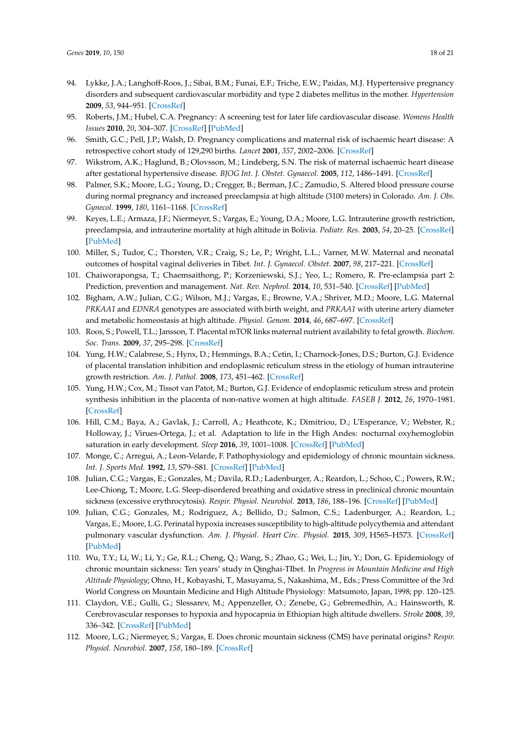- 94. Lykke, J.A.; Langhoff-Roos, J.; Sibai, B.M.; Funai, E.F.; Triche, E.W.; Paidas, M.J. Hypertensive pregnancy disorders and subsequent cardiovascular morbidity and type 2 diabetes mellitus in the mother. *Hypertension* **2009**, *53*, 944–951. [\[CrossRef\]](http://dx.doi.org/10.1161/HYPERTENSIONAHA.109.130765)
- 95. Roberts, J.M.; Hubel, C.A. Pregnancy: A screening test for later life cardiovascular disease. *Womens Health Issues* **2010**, *20*, 304–307. [\[CrossRef\]](http://dx.doi.org/10.1016/j.whi.2010.05.004) [\[PubMed\]](http://www.ncbi.nlm.nih.gov/pubmed/20800765)
- 96. Smith, G.C.; Pell, J.P.; Walsh, D. Pregnancy complications and maternal risk of ischaemic heart disease: A retrospective cohort study of 129,290 births. *Lancet* **2001**, *357*, 2002–2006. [\[CrossRef\]](http://dx.doi.org/10.1016/S0140-6736(00)05112-6)
- <span id="page-17-0"></span>97. Wikstrom, A.K.; Haglund, B.; Olovsson, M.; Lindeberg, S.N. The risk of maternal ischaemic heart disease after gestational hypertensive disease. *BJOG Int. J. Obstet. Gynaecol.* **2005**, *112*, 1486–1491. [\[CrossRef\]](http://dx.doi.org/10.1111/j.1471-0528.2005.00733.x)
- <span id="page-17-1"></span>98. Palmer, S.K.; Moore, L.G.; Young, D.; Cregger, B.; Berman, J.C.; Zamudio, S. Altered blood pressure course during normal pregnancy and increased preeclampsia at high altitude (3100 meters) in Colorado. *Am. J. Obs. Gynecol.* **1999**, *180*, 1161–1168. [\[CrossRef\]](http://dx.doi.org/10.1016/S0002-9378(99)70611-3)
- 99. Keyes, L.E.; Armaza, J.F.; Niermeyer, S.; Vargas, E.; Young, D.A.; Moore, L.G. Intrauterine growth restriction, preeclampsia, and intrauterine mortality at high altitude in Bolivia. *Pediatr. Res.* **2003**, *54*, 20–25. [\[CrossRef\]](http://dx.doi.org/10.1203/01.PDR.0000069846.64389.DC) [\[PubMed\]](http://www.ncbi.nlm.nih.gov/pubmed/12700368)
- <span id="page-17-2"></span>100. Miller, S.; Tudor, C.; Thorsten, V.R.; Craig, S.; Le, P.; Wright, L.L.; Varner, M.W. Maternal and neonatal outcomes of hospital vaginal deliveries in Tibet. *Int. J. Gynaecol. Obstet.* **2007**, *98*, 217–221. [\[CrossRef\]](http://dx.doi.org/10.1016/j.ijgo.2007.03.033)
- <span id="page-17-3"></span>101. Chaiworapongsa, T.; Chaemsaithong, P.; Korzeniewski, S.J.; Yeo, L.; Romero, R. Pre-eclampsia part 2: Prediction, prevention and management. *Nat. Rev. Nephrol.* **2014**, *10*, 531–540. [\[CrossRef\]](http://dx.doi.org/10.1038/nrneph.2014.103) [\[PubMed\]](http://www.ncbi.nlm.nih.gov/pubmed/25003612)
- <span id="page-17-4"></span>102. Bigham, A.W.; Julian, C.G.; Wilson, M.J.; Vargas, E.; Browne, V.A.; Shriver, M.D.; Moore, L.G. Maternal *PRKAA1* and *EDNRA* genotypes are associated with birth weight, and *PRKAA1* with uterine artery diameter and metabolic homeostasis at high altitude. *Physiol. Genom.* **2014**, *46*, 687–697. [\[CrossRef\]](http://dx.doi.org/10.1152/physiolgenomics.00063.2014)
- <span id="page-17-5"></span>103. Roos, S.; Powell, T.L.; Jansson, T. Placental mTOR links maternal nutrient availability to fetal growth. *Biochem. Soc. Trans.* **2009**, *37*, 295–298. [\[CrossRef\]](http://dx.doi.org/10.1042/BST0370295)
- 104. Yung, H.W.; Calabrese, S.; Hynx, D.; Hemmings, B.A.; Cetin, I.; Charnock-Jones, D.S.; Burton, G.J. Evidence of placental translation inhibition and endoplasmic reticulum stress in the etiology of human intrauterine growth restriction. *Am. J. Pathol.* **2008**, *173*, 451–462. [\[CrossRef\]](http://dx.doi.org/10.2353/ajpath.2008.071193)
- <span id="page-17-6"></span>105. Yung, H.W.; Cox, M.; Tissot van Patot, M.; Burton, G.J. Evidence of endoplasmic reticulum stress and protein synthesis inhibition in the placenta of non-native women at high altitude. *FASEB J.* **2012**, *26*, 1970–1981. [\[CrossRef\]](http://dx.doi.org/10.1096/fj.11-190082)
- <span id="page-17-7"></span>106. Hill, C.M.; Baya, A.; Gavlak, J.; Carroll, A.; Heathcote, K.; Dimitriou, D.; L'Esperance, V.; Webster, R.; Holloway, J.; Virues-Ortega, J.; et al. Adaptation to life in the High Andes: nocturnal oxyhemoglobin saturation in early development. *Sleep* **2016**, *39*, 1001–1008. [\[CrossRef\]](http://dx.doi.org/10.5665/sleep.5740) [\[PubMed\]](http://www.ncbi.nlm.nih.gov/pubmed/26951394)
- <span id="page-17-8"></span>107. Monge, C.; Arregui, A.; Leon-Velarde, F. Pathophysiology and epidemiology of chronic mountain sickness. *Int. J. Sports Med.* **1992**, *13*, S79–S81. [\[CrossRef\]](http://dx.doi.org/10.1055/s-2007-1024603) [\[PubMed\]](http://www.ncbi.nlm.nih.gov/pubmed/1483802)
- <span id="page-17-9"></span>108. Julian, C.G.; Vargas, E.; Gonzales, M.; Davila, R.D.; Ladenburger, A.; Reardon, L.; Schoo, C.; Powers, R.W.; Lee-Chiong, T.; Moore, L.G. Sleep-disordered breathing and oxidative stress in preclinical chronic mountain sickness (excessive erythrocytosis). *Respir. Physiol. Neurobiol.* **2013**, *186*, 188–196. [\[CrossRef\]](http://dx.doi.org/10.1016/j.resp.2013.01.016) [\[PubMed\]](http://www.ncbi.nlm.nih.gov/pubmed/23380170)
- <span id="page-17-10"></span>109. Julian, C.G.; Gonzales, M.; Rodriguez, A.; Bellido, D.; Salmon, C.S.; Ladenburger, A.; Reardon, L.; Vargas, E.; Moore, L.G. Perinatal hypoxia increases susceptibility to high-altitude polycythemia and attendant pulmonary vascular dysfunction. *Am. J. Physiol. Heart Circ. Physiol.* **2015**, *309*, H565–H573. [\[CrossRef\]](http://dx.doi.org/10.1152/ajpheart.00296.2015) [\[PubMed\]](http://www.ncbi.nlm.nih.gov/pubmed/26092986)
- <span id="page-17-11"></span>110. Wu, T.Y.; Li, W.; Li, Y.; Ge, R.L.; Cheng, Q.; Wang, S.; Zhao, G.; Wei, L.; Jin, Y.; Don, G. Epidemiology of chronic mountain sickness: Ten years' study in Qinghai-TIbet. In *Progress in Mountain Medicine and High Altitude Physiology*; Ohno, H., Kobayashi, T., Masuyama, S., Nakashima, M., Eds.; Press Committee of the 3rd World Congress on Mountain Medicine and High Altitude Physiology: Matsumoto, Japan, 1998; pp. 120–125.
- <span id="page-17-12"></span>111. Claydon, V.E.; Gulli, G.; Slessarev, M.; Appenzeller, O.; Zenebe, G.; Gebremedhin, A.; Hainsworth, R. Cerebrovascular responses to hypoxia and hypocapnia in Ethiopian high altitude dwellers. *Stroke* **2008**, *39*, 336–342. [\[CrossRef\]](http://dx.doi.org/10.1161/STROKEAHA.107.491498) [\[PubMed\]](http://www.ncbi.nlm.nih.gov/pubmed/18096845)
- <span id="page-17-13"></span>112. Moore, L.G.; Niermeyer, S.; Vargas, E. Does chronic mountain sickness (CMS) have perinatal origins? *Respir. Physiol. Neurobiol.* **2007**, *158*, 180–189. [\[CrossRef\]](http://dx.doi.org/10.1016/j.resp.2007.06.016)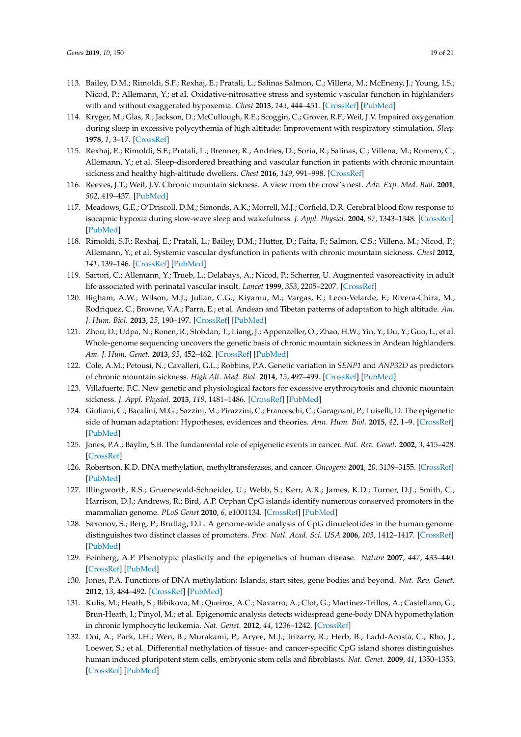- <span id="page-18-0"></span>113. Bailey, D.M.; Rimoldi, S.F.; Rexhaj, E.; Pratali, L.; Salinas Salmon, C.; Villena, M.; McEneny, J.; Young, I.S.; Nicod, P.; Allemann, Y.; et al. Oxidative-nitrosative stress and systemic vascular function in highlanders with and without exaggerated hypoxemia. *Chest* **2013**, *143*, 444–451. [\[CrossRef\]](http://dx.doi.org/10.1378/chest.12-0728) [\[PubMed\]](http://www.ncbi.nlm.nih.gov/pubmed/22922469)
- <span id="page-18-1"></span>114. Kryger, M.; Glas, R.; Jackson, D.; McCullough, R.E.; Scoggin, C.; Grover, R.F.; Weil, J.V. Impaired oxygenation during sleep in excessive polycythemia of high altitude: Improvement with respiratory stimulation. *Sleep* **1978**, *1*, 3–17. [\[CrossRef\]](http://dx.doi.org/10.1093/sleep/1.1.3)
- 115. Rexhaj, E.; Rimoldi, S.F.; Pratali, L.; Brenner, R.; Andries, D.; Soria, R.; Salinas, C.; Villena, M.; Romero, C.; Allemann, Y.; et al. Sleep-disordered breathing and vascular function in patients with chronic mountain sickness and healthy high-altitude dwellers. *Chest* **2016**, *149*, 991–998. [\[CrossRef\]](http://dx.doi.org/10.1378/chest.15-1450)
- <span id="page-18-2"></span>116. Reeves, J.T.; Weil, J.V. Chronic mountain sickness. A view from the crow's nest. *Adv. Exp. Med. Biol.* **2001**, *502*, 419–437. [\[PubMed\]](http://www.ncbi.nlm.nih.gov/pubmed/11950154)
- <span id="page-18-3"></span>117. Meadows, G.E.; O'Driscoll, D.M.; Simonds, A.K.; Morrell, M.J.; Corfield, D.R. Cerebral blood flow response to isocapnic hypoxia during slow-wave sleep and wakefulness. *J. Appl. Physiol.* **2004**, *97*, 1343–1348. [\[CrossRef\]](http://dx.doi.org/10.1152/japplphysiol.01101.2003) [\[PubMed\]](http://www.ncbi.nlm.nih.gov/pubmed/15194678)
- <span id="page-18-4"></span>118. Rimoldi, S.F.; Rexhaj, E.; Pratali, L.; Bailey, D.M.; Hutter, D.; Faita, F.; Salmon, C.S.; Villena, M.; Nicod, P.; Allemann, Y.; et al. Systemic vascular dysfunction in patients with chronic mountain sickness. *Chest* **2012**, *141*, 139–146. [\[CrossRef\]](http://dx.doi.org/10.1378/chest.11-0342) [\[PubMed\]](http://www.ncbi.nlm.nih.gov/pubmed/21700688)
- <span id="page-18-5"></span>119. Sartori, C.; Allemann, Y.; Trueb, L.; Delabays, A.; Nicod, P.; Scherrer, U. Augmented vasoreactivity in adult life associated with perinatal vascular insult. *Lancet* **1999**, *353*, 2205–2207. [\[CrossRef\]](http://dx.doi.org/10.1016/S0140-6736(98)08352-4)
- <span id="page-18-6"></span>120. Bigham, A.W.; Wilson, M.J.; Julian, C.G.; Kiyamu, M.; Vargas, E.; Leon-Velarde, F.; Rivera-Chira, M.; Rodriquez, C.; Browne, V.A.; Parra, E.; et al. Andean and Tibetan patterns of adaptation to high altitude. *Am. J. Hum. Biol.* **2013**, *25*, 190–197. [\[CrossRef\]](http://dx.doi.org/10.1002/ajhb.22358) [\[PubMed\]](http://www.ncbi.nlm.nih.gov/pubmed/23348729)
- <span id="page-18-7"></span>121. Zhou, D.; Udpa, N.; Ronen, R.; Stobdan, T.; Liang, J.; Appenzeller, O.; Zhao, H.W.; Yin, Y.; Du, Y.; Guo, L.; et al. Whole-genome sequencing uncovers the genetic basis of chronic mountain sickness in Andean highlanders. *Am. J. Hum. Genet.* **2013**, *93*, 452–462. [\[CrossRef\]](http://dx.doi.org/10.1016/j.ajhg.2013.07.011) [\[PubMed\]](http://www.ncbi.nlm.nih.gov/pubmed/23954164)
- <span id="page-18-8"></span>122. Cole, A.M.; Petousi, N.; Cavalleri, G.L.; Robbins, P.A. Genetic variation in *SENP1* and *ANP32D* as predictors of chronic mountain sickness. *High Alt. Med. Biol.* **2014**, *15*, 497–499. [\[CrossRef\]](http://dx.doi.org/10.1089/ham.2014.1036) [\[PubMed\]](http://www.ncbi.nlm.nih.gov/pubmed/25225945)
- <span id="page-18-9"></span>123. Villafuerte, F.C. New genetic and physiological factors for excessive erythrocytosis and chronic mountain sickness. *J. Appl. Physiol.* **2015**, *119*, 1481–1486. [\[CrossRef\]](http://dx.doi.org/10.1152/japplphysiol.00271.2015) [\[PubMed\]](http://www.ncbi.nlm.nih.gov/pubmed/26272318)
- <span id="page-18-10"></span>124. Giuliani, C.; Bacalini, M.G.; Sazzini, M.; Pirazzini, C.; Franceschi, C.; Garagnani, P.; Luiselli, D. The epigenetic side of human adaptation: Hypotheses, evidences and theories. *Ann. Hum. Biol.* **2015**, *42*, 1–9. [\[CrossRef\]](http://dx.doi.org/10.3109/03014460.2014.961960) [\[PubMed\]](http://www.ncbi.nlm.nih.gov/pubmed/25413580)
- <span id="page-18-11"></span>125. Jones, P.A.; Baylin, S.B. The fundamental role of epigenetic events in cancer. *Nat. Rev. Genet.* **2002**, *3*, 415–428. [\[CrossRef\]](http://dx.doi.org/10.1038/nrg816)
- <span id="page-18-12"></span>126. Robertson, K.D. DNA methylation, methyltransferases, and cancer. *Oncogene* **2001**, *20*, 3139–3155. [\[CrossRef\]](http://dx.doi.org/10.1038/sj.onc.1204341) [\[PubMed\]](http://www.ncbi.nlm.nih.gov/pubmed/11420731)
- <span id="page-18-13"></span>127. Illingworth, R.S.; Gruenewald-Schneider, U.; Webb, S.; Kerr, A.R.; James, K.D.; Turner, D.J.; Smith, C.; Harrison, D.J.; Andrews, R.; Bird, A.P. Orphan CpG islands identify numerous conserved promoters in the mammalian genome. *PLoS Genet* **2010**, *6*, e1001134. [\[CrossRef\]](http://dx.doi.org/10.1371/journal.pgen.1001134) [\[PubMed\]](http://www.ncbi.nlm.nih.gov/pubmed/20885785)
- <span id="page-18-14"></span>128. Saxonov, S.; Berg, P.; Brutlag, D.L. A genome-wide analysis of CpG dinucleotides in the human genome distinguishes two distinct classes of promoters. *Proc. Natl. Acad. Sci. USA* **2006**, *103*, 1412–1417. [\[CrossRef\]](http://dx.doi.org/10.1073/pnas.0510310103) [\[PubMed\]](http://www.ncbi.nlm.nih.gov/pubmed/16432200)
- <span id="page-18-15"></span>129. Feinberg, A.P. Phenotypic plasticity and the epigenetics of human disease. *Nature* **2007**, *447*, 433–440. [\[CrossRef\]](http://dx.doi.org/10.1038/nature05919) [\[PubMed\]](http://www.ncbi.nlm.nih.gov/pubmed/17522677)
- <span id="page-18-16"></span>130. Jones, P.A. Functions of DNA methylation: Islands, start sites, gene bodies and beyond. *Nat. Rev. Genet.* **2012**, *13*, 484–492. [\[CrossRef\]](http://dx.doi.org/10.1038/nrg3230) [\[PubMed\]](http://www.ncbi.nlm.nih.gov/pubmed/22641018)
- <span id="page-18-17"></span>131. Kulis, M.; Heath, S.; Bibikova, M.; Queiros, A.C.; Navarro, A.; Clot, G.; Martinez-Trillos, A.; Castellano, G.; Brun-Heath, I.; Pinyol, M.; et al. Epigenomic analysis detects widespread gene-body DNA hypomethylation in chronic lymphocytic leukemia. *Nat. Genet.* **2012**, *44*, 1236–1242. [\[CrossRef\]](http://dx.doi.org/10.1038/ng.2443)
- <span id="page-18-18"></span>132. Doi, A.; Park, I.H.; Wen, B.; Murakami, P.; Aryee, M.J.; Irizarry, R.; Herb, B.; Ladd-Acosta, C.; Rho, J.; Loewer, S.; et al. Differential methylation of tissue- and cancer-specific CpG island shores distinguishes human induced pluripotent stem cells, embryonic stem cells and fibroblasts. *Nat. Genet.* **2009**, *41*, 1350–1353. [\[CrossRef\]](http://dx.doi.org/10.1038/ng.471) [\[PubMed\]](http://www.ncbi.nlm.nih.gov/pubmed/19881528)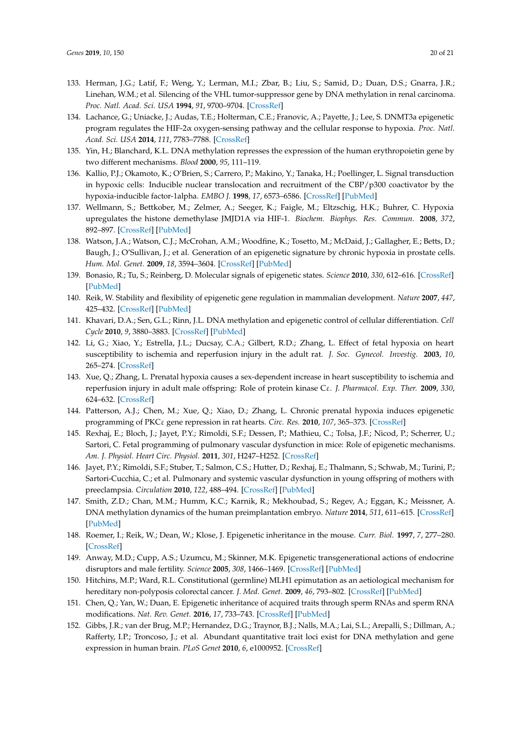- <span id="page-19-0"></span>133. Herman, J.G.; Latif, F.; Weng, Y.; Lerman, M.I.; Zbar, B.; Liu, S.; Samid, D.; Duan, D.S.; Gnarra, J.R.; Linehan, W.M.; et al. Silencing of the VHL tumor-suppressor gene by DNA methylation in renal carcinoma. *Proc. Natl. Acad. Sci. USA* **1994**, *91*, 9700–9704. [\[CrossRef\]](http://dx.doi.org/10.1073/pnas.91.21.9700)
- <span id="page-19-1"></span>134. Lachance, G.; Uniacke, J.; Audas, T.E.; Holterman, C.E.; Franovic, A.; Payette, J.; Lee, S. DNMT3a epigenetic program regulates the HIF-2α oxygen-sensing pathway and the cellular response to hypoxia. *Proc. Natl. Acad. Sci. USA* **2014**, *111*, 7783–7788. [\[CrossRef\]](http://dx.doi.org/10.1073/pnas.1322909111)
- <span id="page-19-2"></span>135. Yin, H.; Blanchard, K.L. DNA methylation represses the expression of the human erythropoietin gene by two different mechanisms. *Blood* **2000**, *95*, 111–119.
- <span id="page-19-3"></span>136. Kallio, P.J.; Okamoto, K.; O'Brien, S.; Carrero, P.; Makino, Y.; Tanaka, H.; Poellinger, L. Signal transduction in hypoxic cells: Inducible nuclear translocation and recruitment of the CBP/p300 coactivator by the hypoxia-inducible factor-1alpha. *EMBO J.* **1998**, *17*, 6573–6586. [\[CrossRef\]](http://dx.doi.org/10.1093/emboj/17.22.6573) [\[PubMed\]](http://www.ncbi.nlm.nih.gov/pubmed/9822602)
- 137. Wellmann, S.; Bettkober, M.; Zelmer, A.; Seeger, K.; Faigle, M.; Eltzschig, H.K.; Buhrer, C. Hypoxia upregulates the histone demethylase JMJD1A via HIF-1. *Biochem. Biophys. Res. Commun.* **2008**, *372*, 892–897. [\[CrossRef\]](http://dx.doi.org/10.1016/j.bbrc.2008.05.150) [\[PubMed\]](http://www.ncbi.nlm.nih.gov/pubmed/18538129)
- <span id="page-19-4"></span>138. Watson, J.A.; Watson, C.J.; McCrohan, A.M.; Woodfine, K.; Tosetto, M.; McDaid, J.; Gallagher, E.; Betts, D.; Baugh, J.; O'Sullivan, J.; et al. Generation of an epigenetic signature by chronic hypoxia in prostate cells. *Hum. Mol. Genet.* **2009**, *18*, 3594–3604. [\[CrossRef\]](http://dx.doi.org/10.1093/hmg/ddp307) [\[PubMed\]](http://www.ncbi.nlm.nih.gov/pubmed/19584087)
- <span id="page-19-5"></span>139. Bonasio, R.; Tu, S.; Reinberg, D. Molecular signals of epigenetic states. *Science* **2010**, *330*, 612–616. [\[CrossRef\]](http://dx.doi.org/10.1126/science.1191078) [\[PubMed\]](http://www.ncbi.nlm.nih.gov/pubmed/21030644)
- <span id="page-19-6"></span>140. Reik, W. Stability and flexibility of epigenetic gene regulation in mammalian development. *Nature* **2007**, *447*, 425–432. [\[CrossRef\]](http://dx.doi.org/10.1038/nature05918) [\[PubMed\]](http://www.ncbi.nlm.nih.gov/pubmed/17522676)
- <span id="page-19-7"></span>141. Khavari, D.A.; Sen, G.L.; Rinn, J.L. DNA methylation and epigenetic control of cellular differentiation. *Cell Cycle* **2010**, *9*, 3880–3883. [\[CrossRef\]](http://dx.doi.org/10.4161/cc.9.19.13385) [\[PubMed\]](http://www.ncbi.nlm.nih.gov/pubmed/20890116)
- <span id="page-19-8"></span>142. Li, G.; Xiao, Y.; Estrella, J.L.; Ducsay, C.A.; Gilbert, R.D.; Zhang, L. Effect of fetal hypoxia on heart susceptibility to ischemia and reperfusion injury in the adult rat. *J. Soc. Gynecol. Investig.* **2003**, *10*, 265–274. [\[CrossRef\]](http://dx.doi.org/10.1016/S1071-55760300074-1)
- 143. Xue, Q.; Zhang, L. Prenatal hypoxia causes a sex-dependent increase in heart susceptibility to ischemia and reperfusion injury in adult male offspring: Role of protein kinase Cε. *J. Pharmacol. Exp. Ther.* **2009**, *330*, 624–632. [\[CrossRef\]](http://dx.doi.org/10.1124/jpet.109.153239)
- <span id="page-19-9"></span>144. Patterson, A.J.; Chen, M.; Xue, Q.; Xiao, D.; Zhang, L. Chronic prenatal hypoxia induces epigenetic programming of PKCε gene repression in rat hearts. *Circ. Res.* **2010**, *107*, 365–373. [\[CrossRef\]](http://dx.doi.org/10.1161/CIRCRESAHA.110.221259)
- <span id="page-19-10"></span>145. Rexhaj, E.; Bloch, J.; Jayet, P.Y.; Rimoldi, S.F.; Dessen, P.; Mathieu, C.; Tolsa, J.F.; Nicod, P.; Scherrer, U.; Sartori, C. Fetal programming of pulmonary vascular dysfunction in mice: Role of epigenetic mechanisms. *Am. J. Physiol. Heart Circ. Physiol.* **2011**, *301*, H247–H252. [\[CrossRef\]](http://dx.doi.org/10.1152/ajpheart.01309.2010)
- <span id="page-19-11"></span>146. Jayet, P.Y.; Rimoldi, S.F.; Stuber, T.; Salmon, C.S.; Hutter, D.; Rexhaj, E.; Thalmann, S.; Schwab, M.; Turini, P.; Sartori-Cucchia, C.; et al. Pulmonary and systemic vascular dysfunction in young offspring of mothers with preeclampsia. *Circulation* **2010**, *122*, 488–494. [\[CrossRef\]](http://dx.doi.org/10.1161/CIRCULATIONAHA.110.941203) [\[PubMed\]](http://www.ncbi.nlm.nih.gov/pubmed/20644018)
- <span id="page-19-12"></span>147. Smith, Z.D.; Chan, M.M.; Humm, K.C.; Karnik, R.; Mekhoubad, S.; Regev, A.; Eggan, K.; Meissner, A. DNA methylation dynamics of the human preimplantation embryo. *Nature* **2014**, *511*, 611–615. [\[CrossRef\]](http://dx.doi.org/10.1038/nature13581) [\[PubMed\]](http://www.ncbi.nlm.nih.gov/pubmed/25079558)
- <span id="page-19-13"></span>148. Roemer, I.; Reik, W.; Dean, W.; Klose, J. Epigenetic inheritance in the mouse. *Curr. Biol.* **1997**, *7*, 277–280. [\[CrossRef\]](http://dx.doi.org/10.1016/S0960-9822(06)00124-2)
- <span id="page-19-14"></span>149. Anway, M.D.; Cupp, A.S.; Uzumcu, M.; Skinner, M.K. Epigenetic transgenerational actions of endocrine disruptors and male fertility. *Science* **2005**, *308*, 1466–1469. [\[CrossRef\]](http://dx.doi.org/10.1126/science.1108190) [\[PubMed\]](http://www.ncbi.nlm.nih.gov/pubmed/15933200)
- <span id="page-19-15"></span>150. Hitchins, M.P.; Ward, R.L. Constitutional (germline) MLH1 epimutation as an aetiological mechanism for hereditary non-polyposis colorectal cancer. *J. Med. Genet.* **2009**, *46*, 793–802. [\[CrossRef\]](http://dx.doi.org/10.1136/jmg.2009.068122) [\[PubMed\]](http://www.ncbi.nlm.nih.gov/pubmed/19564652)
- <span id="page-19-16"></span>151. Chen, Q.; Yan, W.; Duan, E. Epigenetic inheritance of acquired traits through sperm RNAs and sperm RNA modifications. *Nat. Rev. Genet.* **2016**, *17*, 733–743. [\[CrossRef\]](http://dx.doi.org/10.1038/nrg.2016.106) [\[PubMed\]](http://www.ncbi.nlm.nih.gov/pubmed/27694809)
- <span id="page-19-17"></span>152. Gibbs, J.R.; van der Brug, M.P.; Hernandez, D.G.; Traynor, B.J.; Nalls, M.A.; Lai, S.L.; Arepalli, S.; Dillman, A.; Rafferty, I.P.; Troncoso, J.; et al. Abundant quantitative trait loci exist for DNA methylation and gene expression in human brain. *PLoS Genet* **2010**, *6*, e1000952. [\[CrossRef\]](http://dx.doi.org/10.1371/journal.pgen.1000952)